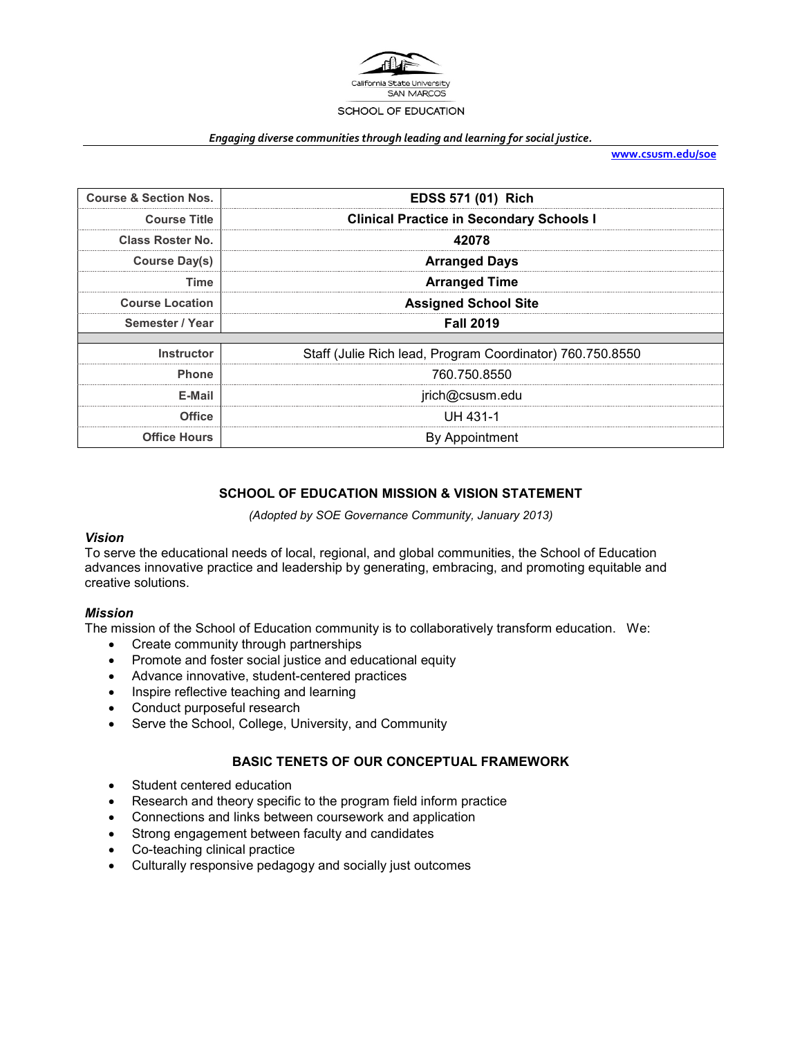

#### *Engaging diverse communities through leading and learning for social justice.*

**[www.csusm.edu/soe](http://www.csusm.edu/soe)**

| <b>Course &amp; Section Nos.</b> | EDSS 571 (01) Rich                                        |
|----------------------------------|-----------------------------------------------------------|
| <b>Course Title</b>              | <b>Clinical Practice in Secondary Schools I</b>           |
| <b>Class Roster No.</b>          | 42078                                                     |
| <b>Course Day(s)</b>             | <b>Arranged Days</b>                                      |
| Time                             | <b>Arranged Time</b>                                      |
| <b>Course Location</b>           | <b>Assigned School Site</b>                               |
| Semester / Year                  | <b>Fall 2019</b>                                          |
|                                  |                                                           |
| <b>Instructor</b>                | Staff (Julie Rich lead, Program Coordinator) 760.750.8550 |
| <b>Phone</b>                     | 760.750.8550                                              |
| E-Mail                           | irich@csusm.edu                                           |
| <b>Office</b>                    | $UH$ 431-1                                                |
| <b>Office Hours</b>              | By Appointment                                            |

### **SCHOOL OF EDUCATION MISSION & VISION STATEMENT**

*(Adopted by SOE Governance Community, January 2013)*

### *Vision*

To serve the educational needs of local, regional, and global communities, the School of Education advances innovative practice and leadership by generating, embracing, and promoting equitable and creative solutions.

### *Mission*

The mission of the School of Education community is to collaboratively transform education. We:

- Create community through partnerships
- Promote and foster social justice and educational equity
- Advance innovative, student-centered practices
- Inspire reflective teaching and learning
- Conduct purposeful research
- Serve the School, College, University, and Community

### **BASIC TENETS OF OUR CONCEPTUAL FRAMEWORK**

- Student centered education
- Research and theory specific to the program field inform practice
- Connections and links between coursework and application
- Strong engagement between faculty and candidates
- Co-teaching clinical practice
- Culturally responsive pedagogy and socially just outcomes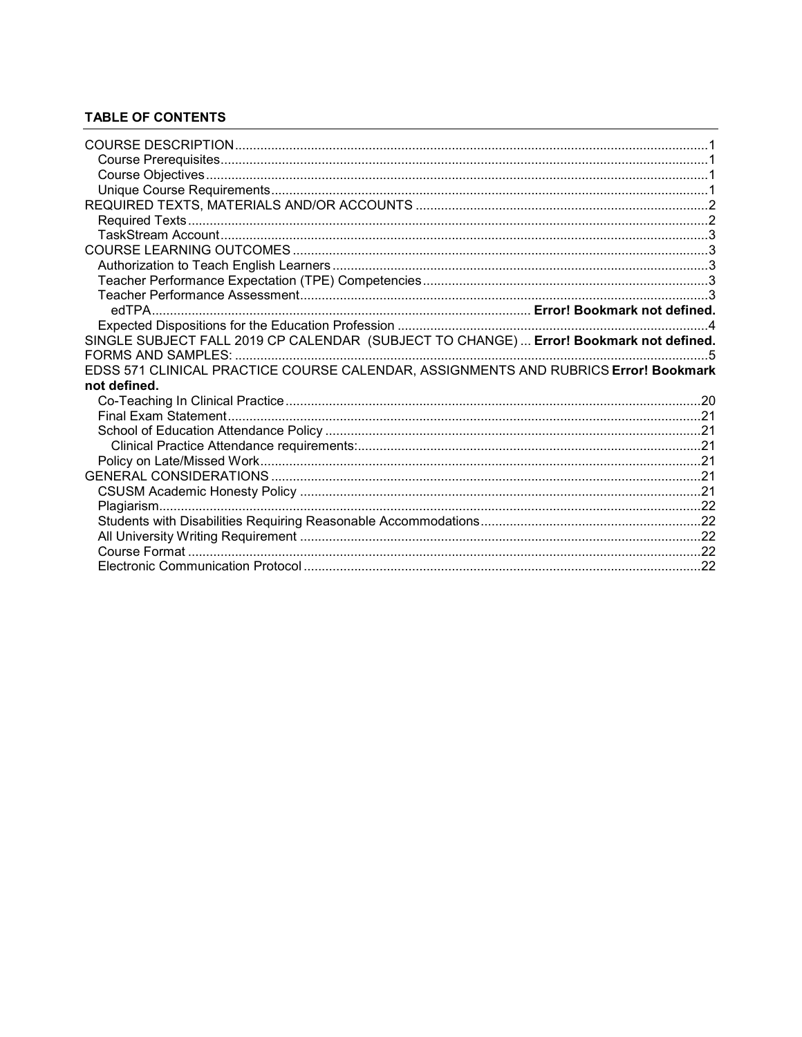### **TABLE OF CONTENTS**

| SINGLE SUBJECT FALL 2019 CP CALENDAR (SUBJECT TO CHANGE)  Error! Bookmark not defined. |  |
|----------------------------------------------------------------------------------------|--|
|                                                                                        |  |
| EDSS 571 CLINICAL PRACTICE COURSE CALENDAR, ASSIGNMENTS AND RUBRICS Error! Bookmark    |  |
| not defined.                                                                           |  |
|                                                                                        |  |
|                                                                                        |  |
|                                                                                        |  |
|                                                                                        |  |
|                                                                                        |  |
|                                                                                        |  |
|                                                                                        |  |
|                                                                                        |  |
|                                                                                        |  |
|                                                                                        |  |
|                                                                                        |  |
|                                                                                        |  |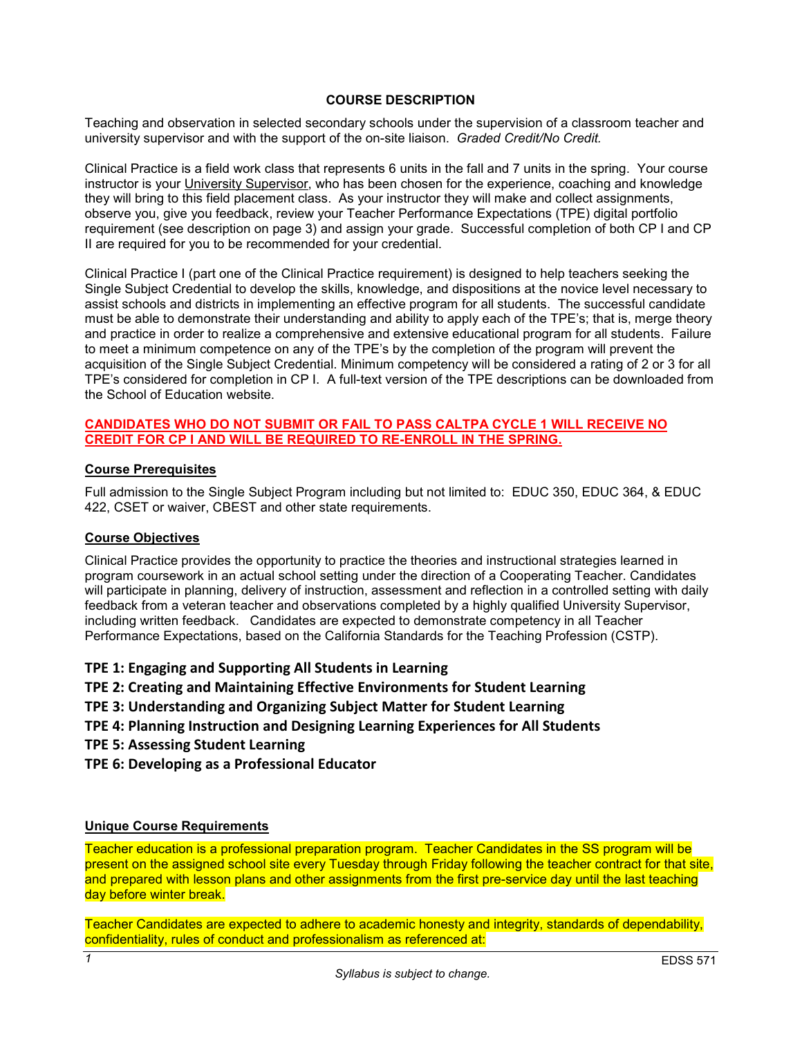### **COURSE DESCRIPTION**

<span id="page-2-0"></span>Teaching and observation in selected secondary schools under the supervision of a classroom teacher and university supervisor and with the support of the on-site liaison. *Graded Credit/No Credit.*

Clinical Practice is a field work class that represents 6 units in the fall and 7 units in the spring. Your course instructor is your University Supervisor, who has been chosen for the experience, coaching and knowledge they will bring to this field placement class. As your instructor they will make and collect assignments, observe you, give you feedback, review your Teacher Performance Expectations (TPE) digital portfolio requirement (see description on page 3) and assign your grade. Successful completion of both CP I and CP II are required for you to be recommended for your credential.

Clinical Practice I (part one of the Clinical Practice requirement) is designed to help teachers seeking the Single Subject Credential to develop the skills, knowledge, and dispositions at the novice level necessary to assist schools and districts in implementing an effective program for all students. The successful candidate must be able to demonstrate their understanding and ability to apply each of the TPE's; that is, merge theory and practice in order to realize a comprehensive and extensive educational program for all students. Failure to meet a minimum competence on any of the TPE's by the completion of the program will prevent the acquisition of the Single Subject Credential. Minimum competency will be considered a rating of 2 or 3 for all TPE's considered for completion in CP I. A full-text version of the TPE descriptions can be downloaded from the School of Education website.

### **CANDIDATES WHO DO NOT SUBMIT OR FAIL TO PASS CALTPA CYCLE 1 WILL RECEIVE NO CREDIT FOR CP I AND WILL BE REQUIRED TO RE-ENROLL IN THE SPRING.**

### <span id="page-2-1"></span>**Course Prerequisites**

Full admission to the Single Subject Program including but not limited to: EDUC 350, EDUC 364, & EDUC 422, CSET or waiver, CBEST and other state requirements.

### <span id="page-2-2"></span>**Course Objectives**

Clinical Practice provides the opportunity to practice the theories and instructional strategies learned in program coursework in an actual school setting under the direction of a Cooperating Teacher. Candidates will participate in planning, delivery of instruction, assessment and reflection in a controlled setting with daily feedback from a veteran teacher and observations completed by a highly qualified University Supervisor, including written feedback. Candidates are expected to demonstrate competency in all Teacher Performance Expectations, based on the California Standards for the Teaching Profession (CSTP).

### **TPE 1: Engaging and Supporting All Students in Learning**

- **TPE 2: Creating and Maintaining Effective Environments for Student Learning**
- **TPE 3: Understanding and Organizing Subject Matter for Student Learning**
- **TPE 4: Planning Instruction and Designing Learning Experiences for All Students**
- **TPE 5: Assessing Student Learning**
- **TPE 6: Developing as a Professional Educator**

### <span id="page-2-3"></span>**Unique Course Requirements**

Teacher education is a professional preparation program. Teacher Candidates in the SS program will be present on the assigned school site every Tuesday through Friday following the teacher contract for that site, and prepared with lesson plans and other assignments from the first pre-service day until the last teaching day before winter break.

Teacher Candidates are expected to adhere to academic honesty and integrity, standards of dependability, confidentiality, rules of conduct and professionalism as referenced at: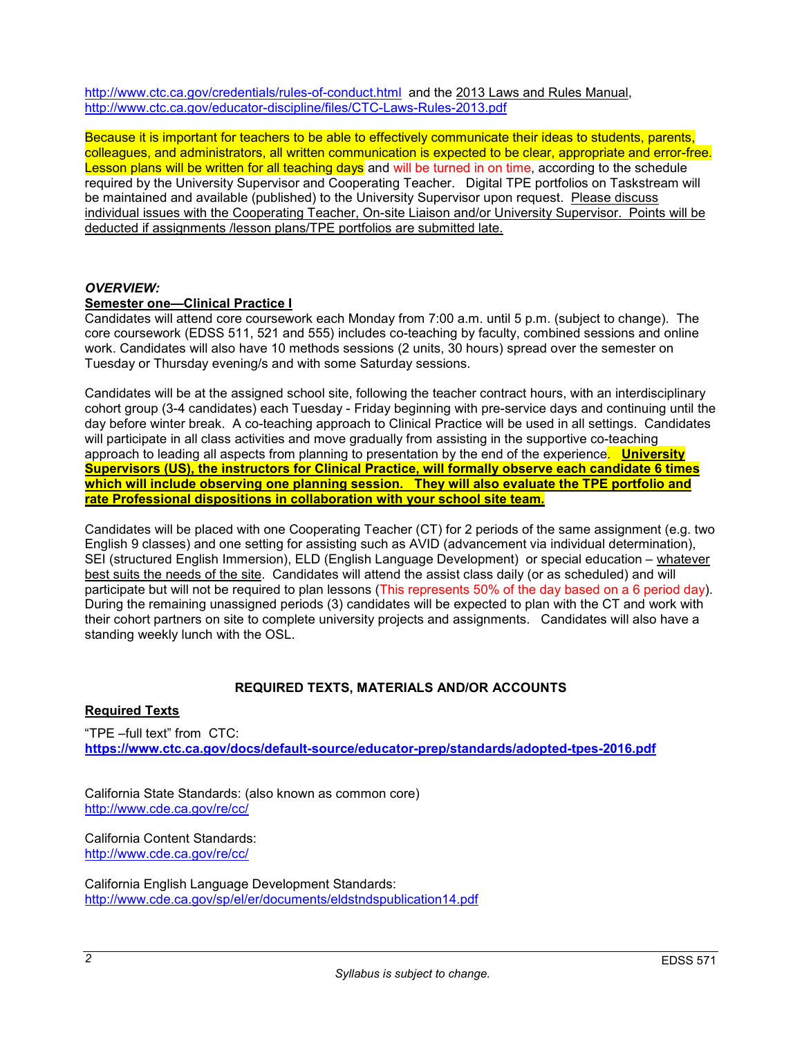<span id="page-3-2"></span><http://www.ctc.ca.gov/credentials/rules-of-conduct.html>and the 2013 Laws and Rules Manual, <http://www.ctc.ca.gov/educator-discipline/files/CTC-Laws-Rules-2013.pdf>

Because it is important for teachers to be able to effectively communicate their ideas to students, parents, colleagues, and administrators, all written communication is expected to be clear, appropriate and error-free. Lesson plans will be written for all teaching days and will be turned in on time, according to the schedule required by the University Supervisor and Cooperating Teacher. Digital TPE portfolios on Taskstream will be maintained and available (published) to the University Supervisor upon request. Please discuss individual issues with the Cooperating Teacher, On-site Liaison and/or University Supervisor. Points will be deducted if assignments /lesson plans/TPE portfolios are submitted late.

### *OVERVIEW:*

### **Semester one—Clinical Practice I**

Candidates will attend core coursework each Monday from 7:00 a.m. until 5 p.m. (subject to change). The core coursework (EDSS 511, 521 and 555) includes co-teaching by faculty, combined sessions and online work. Candidates will also have 10 methods sessions (2 units, 30 hours) spread over the semester on Tuesday or Thursday evening/s and with some Saturday sessions.

Candidates will be at the assigned school site, following the teacher contract hours, with an interdisciplinary cohort group (3-4 candidates) each Tuesday - Friday beginning with pre-service days and continuing until the day before winter break. A co-teaching approach to Clinical Practice will be used in all settings. Candidates will participate in all class activities and move gradually from assisting in the supportive co-teaching approach to leading all aspects from planning to presentation by the end of the experience. **University Supervisors (US), the instructors for Clinical Practice, will formally observe each candidate 6 times which will include observing one planning session. They will also evaluate the TPE portfolio and rate Professional dispositions in collaboration with your school site team.**

Candidates will be placed with one Cooperating Teacher (CT) for 2 periods of the same assignment (e.g. two English 9 classes) and one setting for assisting such as AVID (advancement via individual determination), SEI (structured English Immersion), ELD (English Language Development) or special education – whatever best suits the needs of the site. Candidates will attend the assist class daily (or as scheduled) and will participate but will not be required to plan lessons (This represents 50% of the day based on a 6 period day). During the remaining unassigned periods (3) candidates will be expected to plan with the CT and work with their cohort partners on site to complete university projects and assignments. Candidates will also have a standing weekly lunch with the OSL.

### **REQUIRED TEXTS, MATERIALS AND/OR ACCOUNTS**

### <span id="page-3-1"></span><span id="page-3-0"></span>**Required Texts**

"TPE –full text" from CTC: **<https://www.ctc.ca.gov/docs/default-source/educator-prep/standards/adopted-tpes-2016.pdf>**

California State Standards: (also known as common core) <http://www.cde.ca.gov/re/cc/>

California Content Standards: <http://www.cde.ca.gov/re/cc/>

California English Language Development Standards: <http://www.cde.ca.gov/sp/el/er/documents/eldstndspublication14.pdf>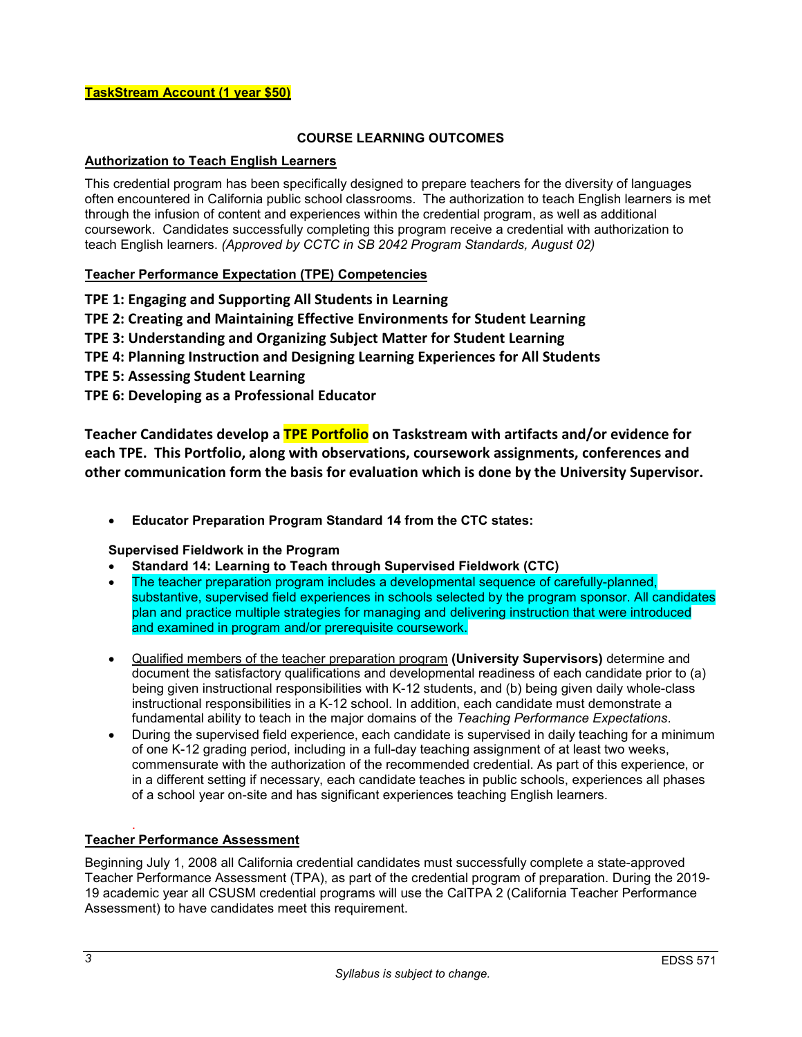### **TaskStream Account (1 year \$50)**

### **COURSE LEARNING OUTCOMES**

### <span id="page-4-1"></span><span id="page-4-0"></span>**Authorization to Teach English Learners**

This credential program has been specifically designed to prepare teachers for the diversity of languages often encountered in California public school classrooms. The authorization to teach English learners is met through the infusion of content and experiences within the credential program, as well as additional coursework. Candidates successfully completing this program receive a credential with authorization to teach English learners. *(Approved by CCTC in SB 2042 Program Standards, August 02)*

### <span id="page-4-2"></span>**Teacher Performance Expectation (TPE) Competencies**

**TPE 1: Engaging and Supporting All Students in Learning**

- **TPE 2: Creating and Maintaining Effective Environments for Student Learning**
- **TPE 3: Understanding and Organizing Subject Matter for Student Learning**
- **TPE 4: Planning Instruction and Designing Learning Experiences for All Students**
- **TPE 5: Assessing Student Learning**
- **TPE 6: Developing as a Professional Educator**

**Teacher Candidates develop a TPE Portfolio on Taskstream with artifacts and/or evidence for each TPE. This Portfolio, along with observations, coursework assignments, conferences and other communication form the basis for evaluation which is done by the University Supervisor.**

• **Educator Preparation Program Standard 14 from the CTC states:**

### **Supervised Fieldwork in the Program**

- **Standard 14: Learning to Teach through Supervised Fieldwork (CTC)**
- The teacher preparation program includes a developmental sequence of carefully-planned, substantive, supervised field experiences in schools selected by the program sponsor. All candidates plan and practice multiple strategies for managing and delivering instruction that were introduced and examined in program and/or prerequisite coursework.
- Qualified members of the teacher preparation program **(University Supervisors)** determine and document the satisfactory qualifications and developmental readiness of each candidate prior to (a) being given instructional responsibilities with K-12 students, and (b) being given daily whole-class instructional responsibilities in a K-12 school. In addition, each candidate must demonstrate a fundamental ability to teach in the major domains of the *Teaching Performance Expectations*.
- During the supervised field experience, each candidate is supervised in daily teaching for a minimum of one K-12 grading period, including in a full-day teaching assignment of at least two weeks, commensurate with the authorization of the recommended credential. As part of this experience, or in a different setting if necessary, each candidate teaches in public schools, experiences all phases of a school year on-site and has significant experiences teaching English learners.

#### <span id="page-4-3"></span>. **Teacher Performance Assessment**

Beginning July 1, 2008 all California credential candidates must successfully complete a state-approved Teacher Performance Assessment (TPA), as part of the credential program of preparation. During the 2019- 19 academic year all CSUSM credential programs will use the CalTPA 2 (California Teacher Performance Assessment) to have candidates meet this requirement.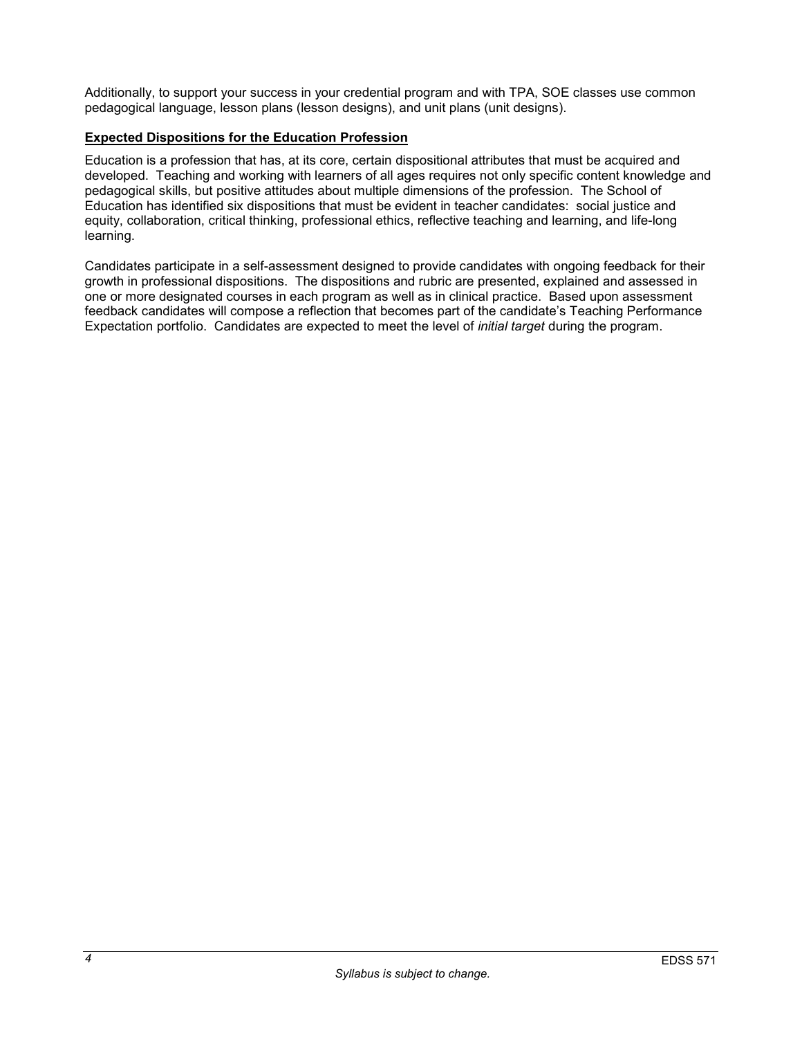Additionally, to support your success in your credential program and with TPA, SOE classes use common pedagogical language, lesson plans (lesson designs), and unit plans (unit designs).

### <span id="page-5-0"></span>**Expected Dispositions for the Education Profession**

Education is a profession that has, at its core, certain dispositional attributes that must be acquired and developed. Teaching and working with learners of all ages requires not only specific content knowledge and pedagogical skills, but positive attitudes about multiple dimensions of the profession. The School of Education has identified six dispositions that must be evident in teacher candidates: social justice and equity, collaboration, critical thinking, professional ethics, reflective teaching and learning, and life-long learning.

<span id="page-5-1"></span>Candidates participate in a self-assessment designed to provide candidates with ongoing feedback for their growth in professional dispositions. The dispositions and rubric are presented, explained and assessed in one or more designated courses in each program as well as in clinical practice. Based upon assessment feedback candidates will compose a reflection that becomes part of the candidate's Teaching Performance Expectation portfolio. Candidates are expected to meet the level of *initial target* during the program.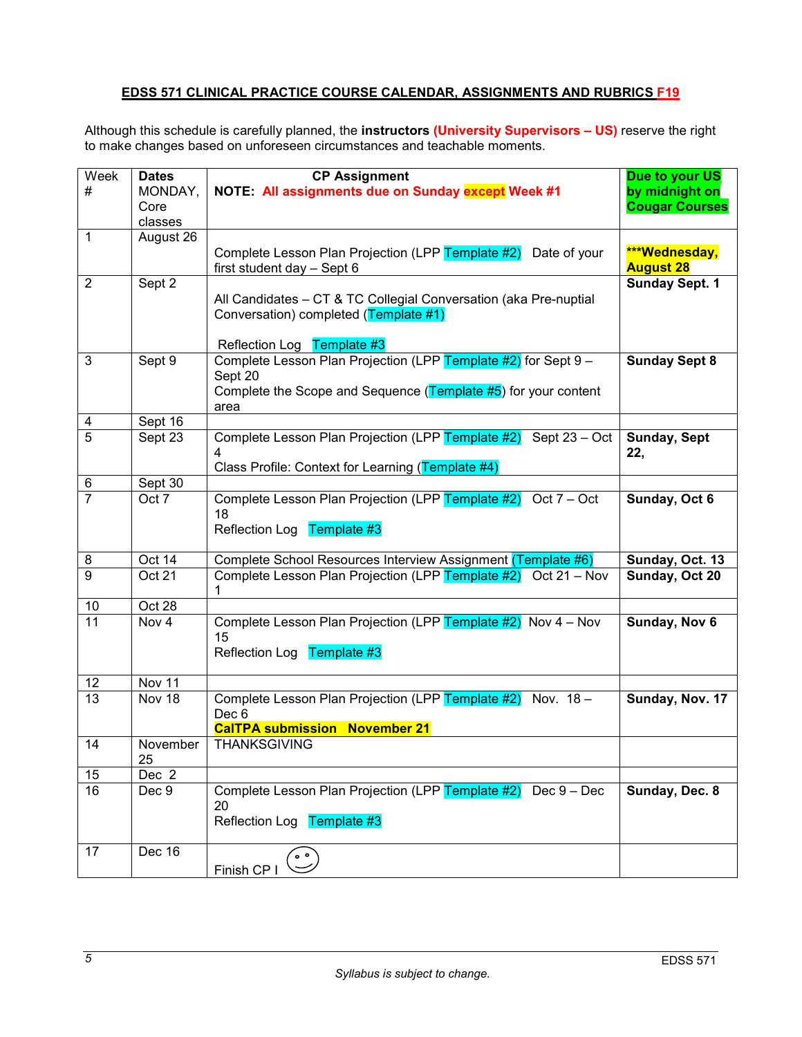### **EDSS 571 CLINICAL PRACTICE COURSE CALENDAR, ASSIGNMENTS AND RUBRICS F19**

Although this schedule is carefully planned, the **instructors (University Supervisors – US)** reserve the right to make changes based on unforeseen circumstances and teachable moments.

| Week<br>#      | <b>Dates</b><br>MONDAY,<br>Core<br>classes | <b>CP Assignment</b><br>NOTE: All assignments due on Sunday except Week #1                                                                          | Due to your US<br>by midnight on<br><b>Cougar Courses</b> |
|----------------|--------------------------------------------|-----------------------------------------------------------------------------------------------------------------------------------------------------|-----------------------------------------------------------|
| 1              | August 26                                  | Complete Lesson Plan Projection (LPP Template #2) Date of your<br>first student day - Sept 6                                                        | ***Wednesday,<br><b>August 28</b>                         |
| $\overline{2}$ | Sept 2                                     | All Candidates - CT & TC Collegial Conversation (aka Pre-nuptial<br>Conversation) completed (Template #1)<br>Reflection Log Template #3             | Sunday Sept. 1                                            |
| 3              | Sept 9                                     | Complete Lesson Plan Projection (LPP Template #2) for Sept 9 -<br>Sept 20<br>Complete the Scope and Sequence (Template #5) for your content<br>area | <b>Sunday Sept 8</b>                                      |
| 4              | Sept $16$                                  |                                                                                                                                                     |                                                           |
| 5              | Sept 23                                    | Complete Lesson Plan Projection (LPP Template #2) Sept 23 - Oct<br>4<br>Class Profile: Context for Learning (Template #4)                           | Sunday, Sept<br>22,                                       |
| 6              | Sept 30                                    |                                                                                                                                                     |                                                           |
| $\overline{7}$ | Oct 7                                      | Complete Lesson Plan Projection (LPP Template #2) Oct 7 - Oct<br>18<br>Template #3<br>Reflection Log                                                | Sunday, Oct 6                                             |
| 8              | Oct 14                                     | Complete School Resources Interview Assignment (Template #6)                                                                                        | Sunday, Oct. 13                                           |
| 9              | Oct 21                                     | Complete Lesson Plan Projection (LPP Template $#2$ ) Oct 21 – Nov                                                                                   | Sunday, Oct 20                                            |
| 10             | Oct 28                                     |                                                                                                                                                     |                                                           |
| 11             | $\overline{N}$ ov 4                        | Complete Lesson Plan Projection (LPP Template #2) Nov 4 - Nov<br>15<br>Reflection Log<br>Template #3                                                | Sunday, Nov 6                                             |
| 12             | Nov 11                                     |                                                                                                                                                     |                                                           |
| 13             | Nov 18                                     | Complete Lesson Plan Projection (LPP Template #2) Nov. 18 -<br>Dec <sub>6</sub><br><b>CalTPA submission November 21</b>                             | Sunday, Nov. 17                                           |
| 14             | November<br>25                             | <b>THANKSGIVING</b>                                                                                                                                 |                                                           |
| 15             | Dec 2                                      |                                                                                                                                                     |                                                           |
| 16             | Dec 9                                      | Complete Lesson Plan Projection (LPP Template #2) Dec 9 - Dec<br>20<br><b>Reflection Log</b><br>Template #3                                         | Sunday, Dec. 8                                            |
| 17             | Dec 16                                     | Finish CP                                                                                                                                           |                                                           |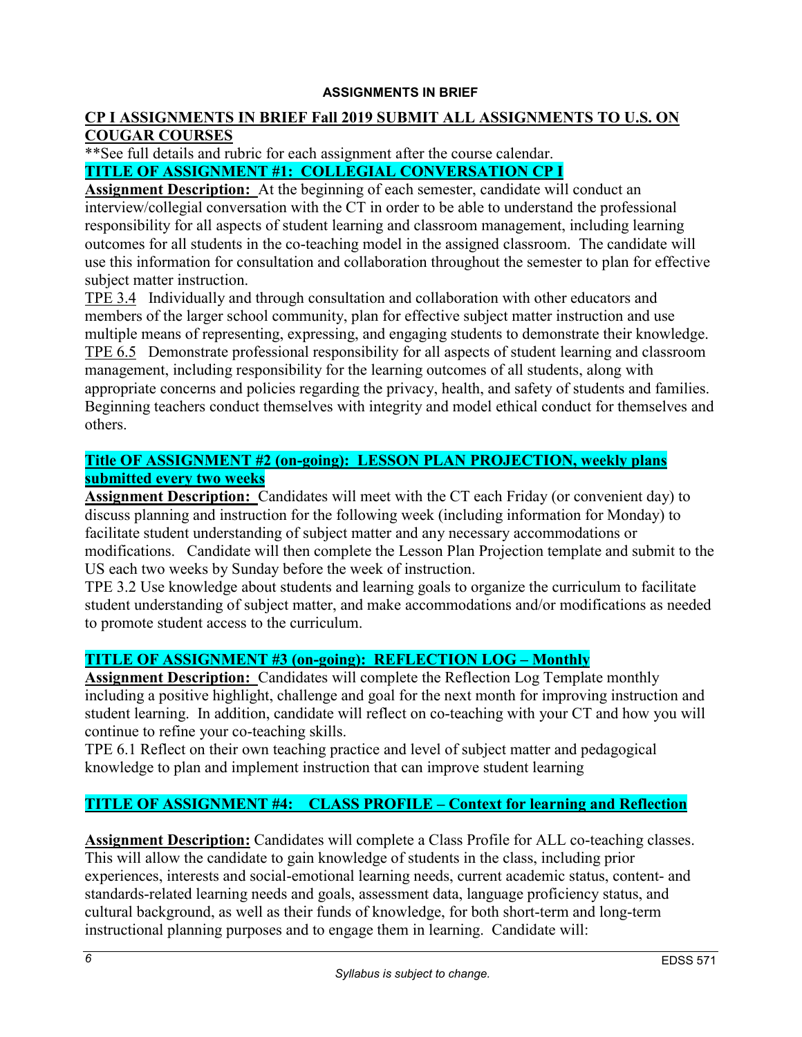### **ASSIGNMENTS IN BRIEF**

### **CP I ASSIGNMENTS IN BRIEF Fall 2019 SUBMIT ALL ASSIGNMENTS TO U.S. ON COUGAR COURSES**

\*\*See full details and rubric for each assignment after the course calendar.

# **TITLE OF ASSIGNMENT #1: COLLEGIAL CONVERSATION CP I**

**Assignment Description:** At the beginning of each semester, candidate will conduct an interview/collegial conversation with the CT in order to be able to understand the professional responsibility for all aspects of student learning and classroom management, including learning outcomes for all students in the co-teaching model in the assigned classroom. The candidate will use this information for consultation and collaboration throughout the semester to plan for effective subject matter instruction.

TPE 3.4 Individually and through consultation and collaboration with other educators and members of the larger school community, plan for effective subject matter instruction and use multiple means of representing, expressing, and engaging students to demonstrate their knowledge. TPE 6.5 Demonstrate professional responsibility for all aspects of student learning and classroom management, including responsibility for the learning outcomes of all students, along with appropriate concerns and policies regarding the privacy, health, and safety of students and families. Beginning teachers conduct themselves with integrity and model ethical conduct for themselves and others.

# **Title OF ASSIGNMENT #2 (on-going): LESSON PLAN PROJECTION, weekly plans submitted every two weeks**

**Assignment Description:** Candidates will meet with the CT each Friday (or convenient day) to discuss planning and instruction for the following week (including information for Monday) to facilitate student understanding of subject matter and any necessary accommodations or modifications. Candidate will then complete the Lesson Plan Projection template and submit to the US each two weeks by Sunday before the week of instruction.

TPE 3.2 Use knowledge about students and learning goals to organize the curriculum to facilitate student understanding of subject matter, and make accommodations and/or modifications as needed to promote student access to the curriculum.

# **TITLE OF ASSIGNMENT #3 (on-going): REFLECTION LOG – Monthly**

**Assignment Description:** Candidates will complete the Reflection Log Template monthly including a positive highlight, challenge and goal for the next month for improving instruction and student learning. In addition, candidate will reflect on co-teaching with your CT and how you will continue to refine your co-teaching skills.

TPE 6.1 Reflect on their own teaching practice and level of subject matter and pedagogical knowledge to plan and implement instruction that can improve student learning

# **TITLE OF ASSIGNMENT #4: CLASS PROFILE – Context for learning and Reflection**

**Assignment Description:** Candidates will complete a Class Profile for ALL co-teaching classes. This will allow the candidate to gain knowledge of students in the class, including prior experiences, interests and social-emotional learning needs, current academic status, content- and standards-related learning needs and goals, assessment data, language proficiency status, and cultural background, as well as their funds of knowledge, for both short-term and long-term instructional planning purposes and to engage them in learning. Candidate will: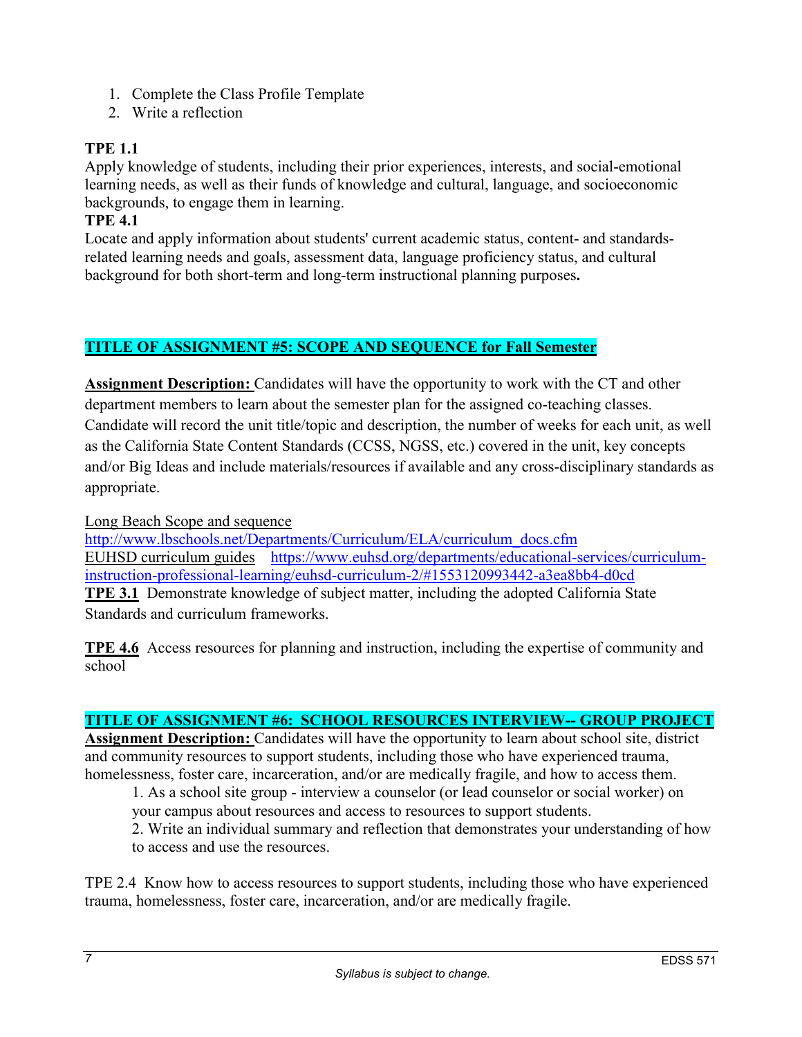- 1. Complete the Class Profile Template
- 2. Write a reflection

# **TPE 1.1**

Apply knowledge of students, including their prior experiences, interests, and social-emotional learning needs, as well as their funds of knowledge and cultural, language, and socioeconomic backgrounds, to engage them in learning.

# **TPE 4.1**

Locate and apply information about students' current academic status, content- and standardsrelated learning needs and goals, assessment data, language proficiency status, and cultural background for both short-term and long-term instructional planning purposes**.**

# **TITLE OF ASSIGNMENT #5: SCOPE AND SEQUENCE for Fall Semester**

**Assignment Description:** Candidates will have the opportunity to work with the CT and other department members to learn about the semester plan for the assigned co-teaching classes. Candidate will record the unit title/topic and description, the number of weeks for each unit, as well as the California State Content Standards (CCSS, NGSS, etc.) covered in the unit, key concepts and/or Big Ideas and include materials/resources if available and any cross-disciplinary standards as appropriate.

Long Beach Scope and sequence

[http://www.lbschools.net/Departments/Curriculum/ELA/curriculum\\_docs.cfm](http://www.lbschools.net/Departments/Curriculum/ELA/curriculum_docs.cfm) EUHSD curriculum guides [https://www.euhsd.org/departments/educational-services/curriculum](https://www.euhsd.org/departments/educational-services/curriculum-instruction-professional-learning/euhsd-curriculum-2/#1553120993442-a3ea8bb4-d0cd)[instruction-professional-learning/euhsd-curriculum-2/#1553120993442-a3ea8bb4-d0cd](https://www.euhsd.org/departments/educational-services/curriculum-instruction-professional-learning/euhsd-curriculum-2/#1553120993442-a3ea8bb4-d0cd)

**TPE 3.1** Demonstrate knowledge of subject matter, including the adopted California State Standards and curriculum frameworks.

**TPE 4.6** Access resources for planning and instruction, including the expertise of community and school

# **TITLE OF ASSIGNMENT #6: SCHOOL RESOURCES INTERVIEW-- GROUP PROJECT**

**Assignment Description:** Candidates will have the opportunity to learn about school site, district and community resources to support students, including those who have experienced trauma, homelessness, foster care, incarceration, and/or are medically fragile, and how to access them.

1. As a school site group - interview a counselor (or lead counselor or social worker) on your campus about resources and access to resources to support students.

2. Write an individual summary and reflection that demonstrates your understanding of how to access and use the resources.

TPE 2.4 Know how to access resources to support students, including those who have experienced trauma, homelessness, foster care, incarceration, and/or are medically fragile.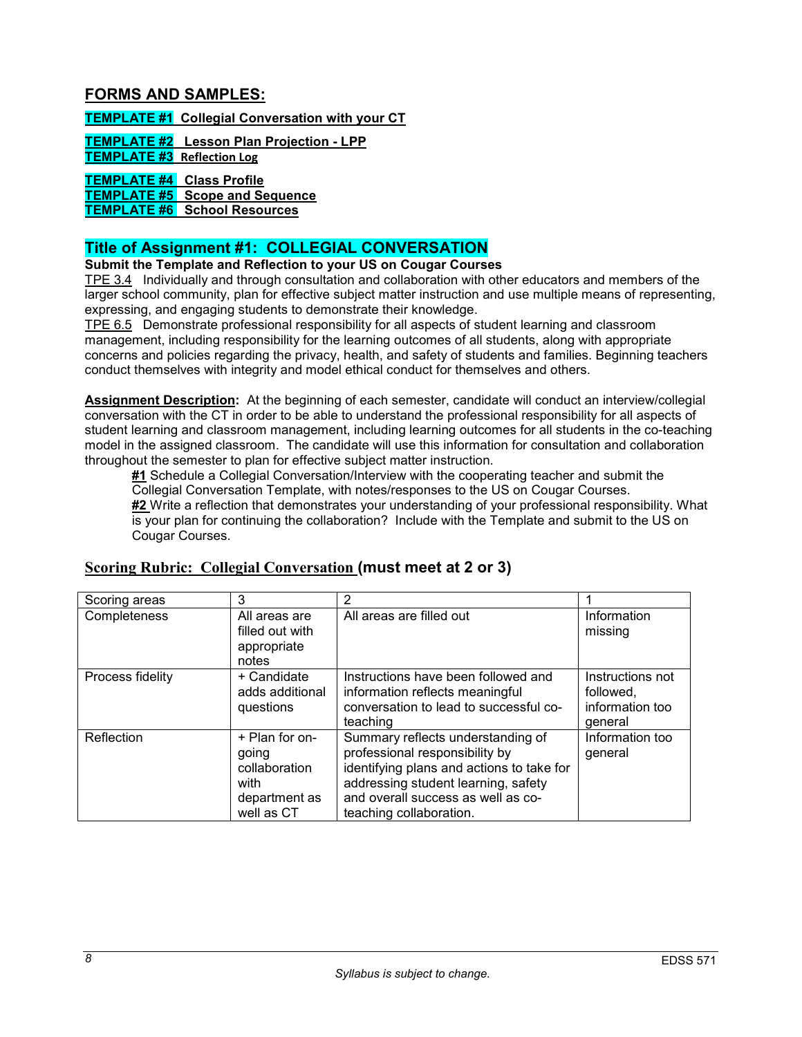# **FORMS AND SAMPLES:**

**TEMPLATE #1 Collegial Conversation with your CT**

**TEMPLATE #2 Lesson Plan Projection - LPP**

**TEMPLATE #3 Reflection Log**

**TEMPLATE #4 Class Profile**

**TEMPLATE #5 Scope and Sequence**

**TEMPLATE #6 School Resources**

### **Title of Assignment #1: COLLEGIAL CONVERSATION**

**Submit the Template and Reflection to your US on Cougar Courses** 

TPE 3.4 Individually and through consultation and collaboration with other educators and members of the larger school community, plan for effective subject matter instruction and use multiple means of representing, expressing, and engaging students to demonstrate their knowledge.

TPE 6.5 Demonstrate professional responsibility for all aspects of student learning and classroom management, including responsibility for the learning outcomes of all students, along with appropriate concerns and policies regarding the privacy, health, and safety of students and families. Beginning teachers conduct themselves with integrity and model ethical conduct for themselves and others.

**Assignment Description:** At the beginning of each semester, candidate will conduct an interview/collegial conversation with the CT in order to be able to understand the professional responsibility for all aspects of student learning and classroom management, including learning outcomes for all students in the co-teaching model in the assigned classroom. The candidate will use this information for consultation and collaboration throughout the semester to plan for effective subject matter instruction.

**#1** Schedule a Collegial Conversation/Interview with the cooperating teacher and submit the Collegial Conversation Template, with notes/responses to the US on Cougar Courses.

**#2** Write a reflection that demonstrates your understanding of your professional responsibility. What is your plan for continuing the collaboration? Include with the Template and submit to the US on Cougar Courses.

| Scoring areas    | 3                                                                               | 2                                                                                                                                                                                                                        |                                                             |
|------------------|---------------------------------------------------------------------------------|--------------------------------------------------------------------------------------------------------------------------------------------------------------------------------------------------------------------------|-------------------------------------------------------------|
| Completeness     | All areas are<br>filled out with<br>appropriate<br>notes                        | All areas are filled out                                                                                                                                                                                                 | Information<br>missing                                      |
| Process fidelity | + Candidate<br>adds additional<br>questions                                     | Instructions have been followed and<br>information reflects meaningful<br>conversation to lead to successful co-<br>teaching                                                                                             | Instructions not<br>followed.<br>information too<br>qeneral |
| Reflection       | + Plan for on-<br>going<br>collaboration<br>with<br>department as<br>well as CT | Summary reflects understanding of<br>professional responsibility by<br>identifying plans and actions to take for<br>addressing student learning, safety<br>and overall success as well as co-<br>teaching collaboration. | Information too<br>general                                  |

### **Scoring Rubric: Collegial Conversation (must meet at 2 or 3)**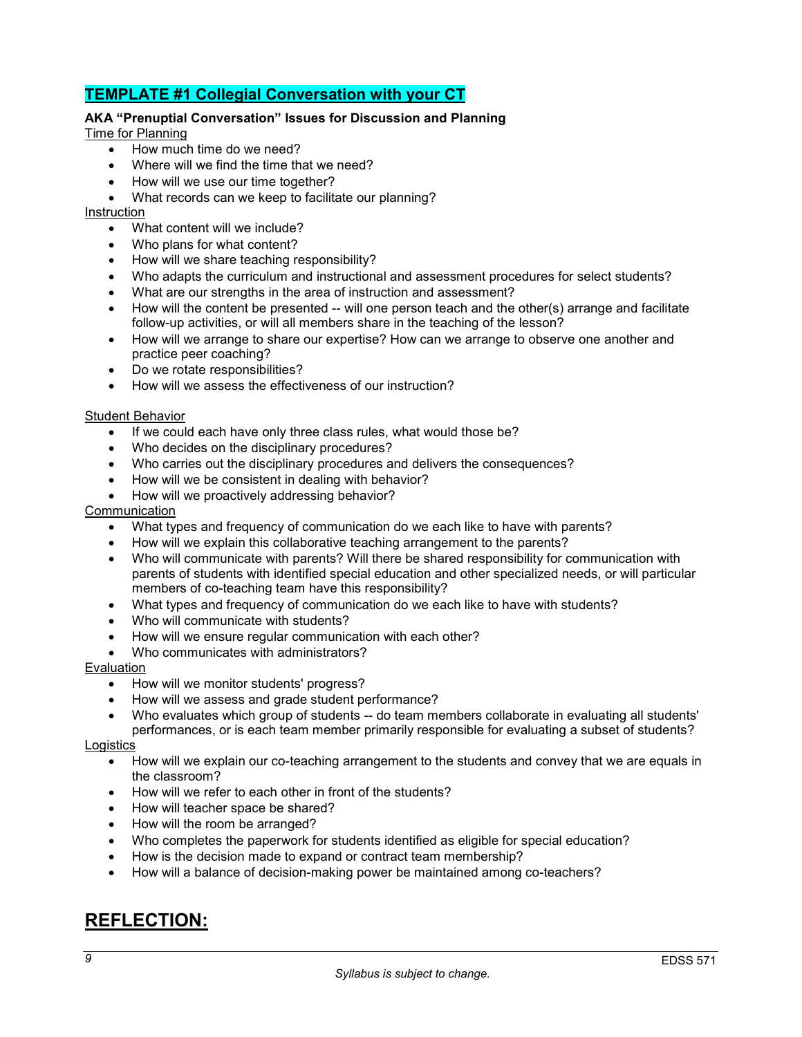# **TEMPLATE #1 Collegial Conversation with your CT**

### **AKA "Prenuptial Conversation" Issues for Discussion and Planning**

Time for Planning

- How much time do we need?
- Where will we find the time that we need?
- How will we use our time together?
- What records can we keep to facilitate our planning?

### **Instruction**

- What content will we include?
- Who plans for what content?
- How will we share teaching responsibility?
- Who adapts the curriculum and instructional and assessment procedures for select students?
- What are our strengths in the area of instruction and assessment?
- How will the content be presented -- will one person teach and the other(s) arrange and facilitate follow-up activities, or will all members share in the teaching of the lesson?
- How will we arrange to share our expertise? How can we arrange to observe one another and practice peer coaching?
- Do we rotate responsibilities?
- How will we assess the effectiveness of our instruction?

### Student Behavior

- If we could each have only three class rules, what would those be?
- Who decides on the disciplinary procedures?
- Who carries out the disciplinary procedures and delivers the consequences?
- How will we be consistent in dealing with behavior?
- How will we proactively addressing behavior?

**Communication** 

- What types and frequency of communication do we each like to have with parents?
- How will we explain this collaborative teaching arrangement to the parents?
- Who will communicate with parents? Will there be shared responsibility for communication with parents of students with identified special education and other specialized needs, or will particular members of co-teaching team have this responsibility?
- What types and frequency of communication do we each like to have with students?
- Who will communicate with students?
- How will we ensure regular communication with each other?
- Who communicates with administrators?

### **Evaluation**

- How will we monitor students' progress?
- How will we assess and grade student performance?
- Who evaluates which group of students -- do team members collaborate in evaluating all students' performances, or is each team member primarily responsible for evaluating a subset of students?

### Logistics

- How will we explain our co-teaching arrangement to the students and convey that we are equals in the classroom?
- How will we refer to each other in front of the students?
- How will teacher space be shared?
- How will the room be arranged?
- Who completes the paperwork for students identified as eligible for special education?
- How is the decision made to expand or contract team membership?
- How will a balance of decision-making power be maintained among co-teachers?

# **REFLECTION:**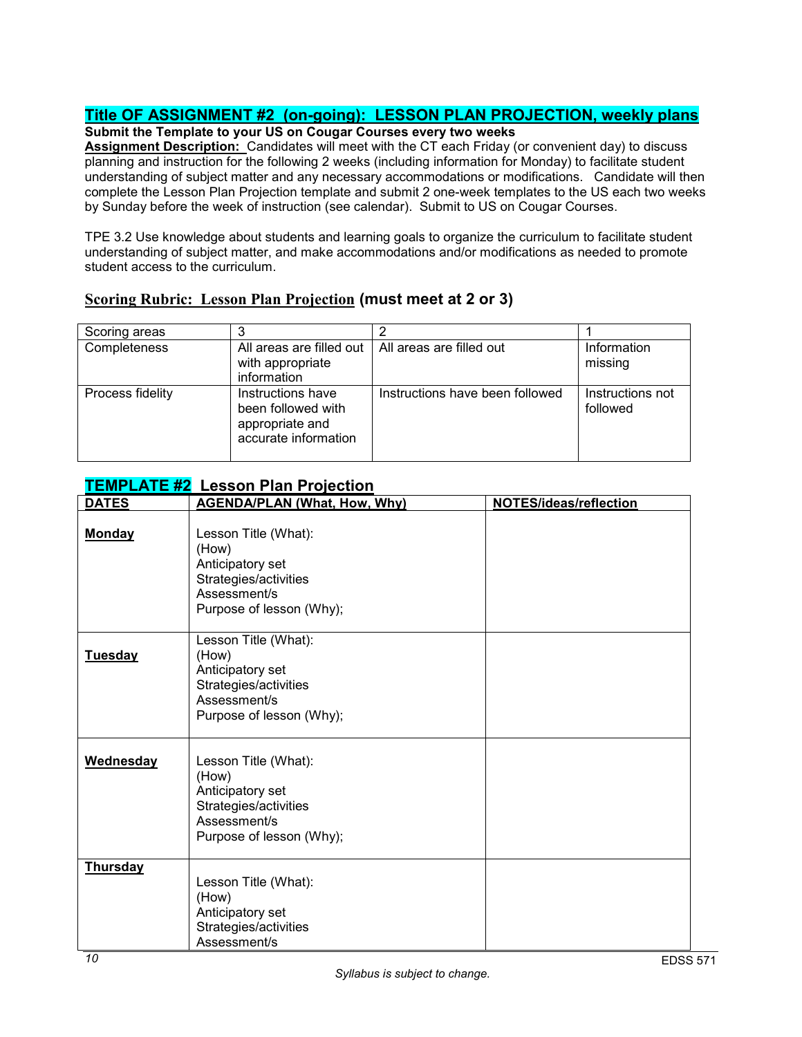# **Title OF ASSIGNMENT #2 (on-going): LESSON PLAN PROJECTION, weekly plans**

**Submit the Template to your US on Cougar Courses every two weeks**

**Assignment Description:** Candidates will meet with the CT each Friday (or convenient day) to discuss planning and instruction for the following 2 weeks (including information for Monday) to facilitate student understanding of subject matter and any necessary accommodations or modifications. Candidate will then complete the Lesson Plan Projection template and submit 2 one-week templates to the US each two weeks by Sunday before the week of instruction (see calendar). Submit to US on Cougar Courses.

TPE 3.2 Use knowledge about students and learning goals to organize the curriculum to facilitate student understanding of subject matter, and make accommodations and/or modifications as needed to promote student access to the curriculum.

# **Scoring Rubric: Lesson Plan Projection (must meet at 2 or 3)**

| Scoring areas    |                                                                                        |                                 |                              |
|------------------|----------------------------------------------------------------------------------------|---------------------------------|------------------------------|
| Completeness     | All areas are filled out   All areas are filled out<br>with appropriate<br>information |                                 | Information<br>missing       |
| Process fidelity | Instructions have<br>been followed with<br>appropriate and<br>accurate information     | Instructions have been followed | Instructions not<br>followed |

# **TEMPLATE #2 Lesson Plan Projection**

| <b>DATES</b>    | <b>AGENDA/PLAN (What, How, Why)</b>                                                                                    | NOTES/ideas/reflection |
|-----------------|------------------------------------------------------------------------------------------------------------------------|------------------------|
| <b>Monday</b>   | Lesson Title (What):<br>(How)<br>Anticipatory set<br>Strategies/activities<br>Assessment/s<br>Purpose of lesson (Why); |                        |
| <b>Tuesday</b>  | Lesson Title (What):<br>(How)<br>Anticipatory set<br>Strategies/activities<br>Assessment/s<br>Purpose of lesson (Why); |                        |
| Wednesday       | Lesson Title (What):<br>(How)<br>Anticipatory set<br>Strategies/activities<br>Assessment/s<br>Purpose of lesson (Why); |                        |
| <b>Thursday</b> | Lesson Title (What):<br>(How)<br>Anticipatory set<br>Strategies/activities<br>Assessment/s                             |                        |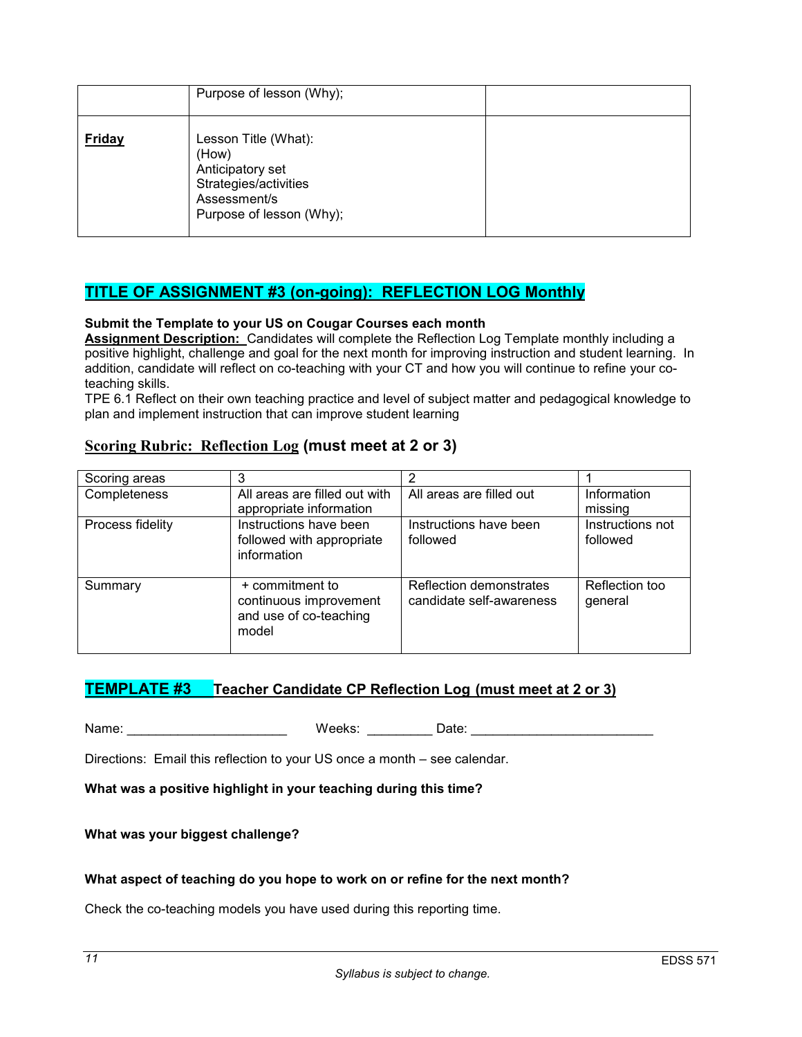|               | Purpose of lesson (Why);                                                                                               |  |
|---------------|------------------------------------------------------------------------------------------------------------------------|--|
| <b>Friday</b> | Lesson Title (What):<br>(How)<br>Anticipatory set<br>Strategies/activities<br>Assessment/s<br>Purpose of lesson (Why); |  |

# **TITLE OF ASSIGNMENT #3 (on-going): REFLECTION LOG Monthly**

### **Submit the Template to your US on Cougar Courses each month**

**Assignment Description:** Candidates will complete the Reflection Log Template monthly including a positive highlight, challenge and goal for the next month for improving instruction and student learning. In addition, candidate will reflect on co-teaching with your CT and how you will continue to refine your coteaching skills.

TPE 6.1 Reflect on their own teaching practice and level of subject matter and pedagogical knowledge to plan and implement instruction that can improve student learning

### **Scoring Rubric: Reflection Log (must meet at 2 or 3)**

| Scoring areas    | 3                                                                            | 0                                                   |                              |
|------------------|------------------------------------------------------------------------------|-----------------------------------------------------|------------------------------|
| Completeness     | All areas are filled out with<br>appropriate information                     | All areas are filled out                            | Information<br>missing       |
| Process fidelity | Instructions have been<br>followed with appropriate<br>information           | Instructions have been<br>followed                  | Instructions not<br>followed |
| Summary          | + commitment to<br>continuous improvement<br>and use of co-teaching<br>model | Reflection demonstrates<br>candidate self-awareness | Reflection too<br>general    |

## **TEMPLATE #3 Teacher Candidate CP Reflection Log (must meet at 2 or 3)**

Name: \_\_\_\_\_\_\_\_\_\_\_\_\_\_\_\_\_\_\_\_\_\_ Weeks: \_\_\_\_\_\_\_\_\_ Date: \_\_\_\_\_\_\_\_\_\_\_\_\_\_\_\_\_\_\_\_\_\_\_\_\_

Directions: Email this reflection to your US once a month – see calendar.

**What was a positive highlight in your teaching during this time?**

**What was your biggest challenge?**

### **What aspect of teaching do you hope to work on or refine for the next month?**

Check the co-teaching models you have used during this reporting time.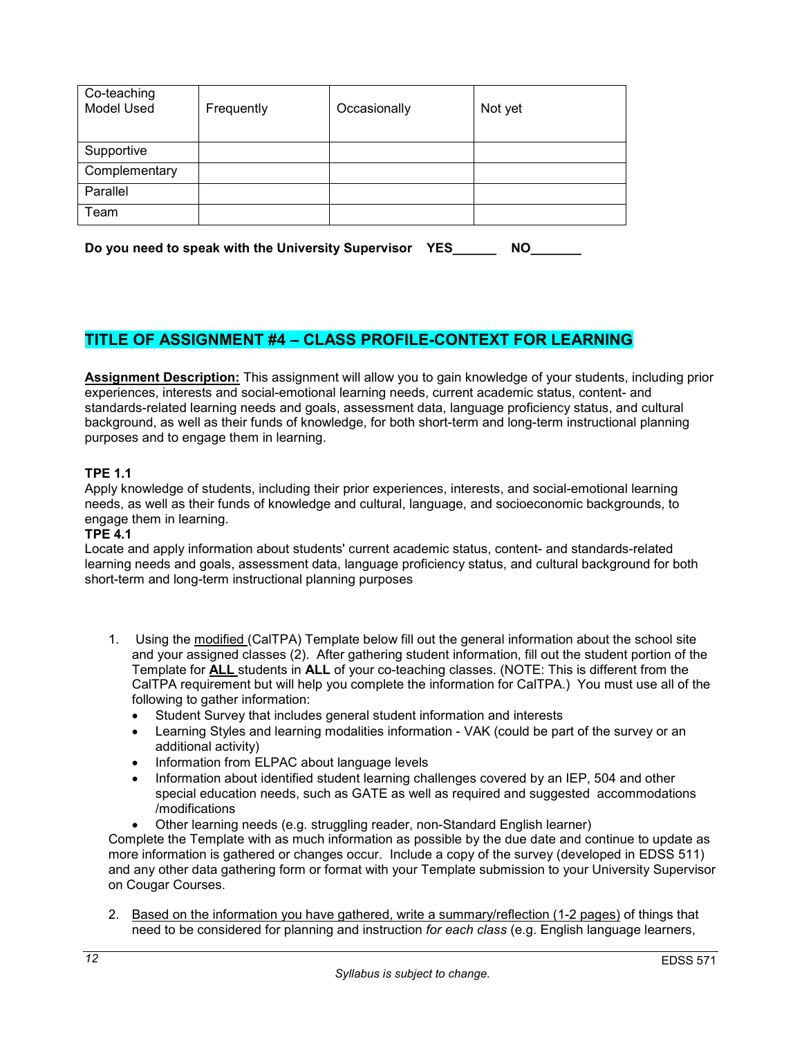| Co-teaching<br>Model Used | Frequently | Occasionally | Not yet |
|---------------------------|------------|--------------|---------|
| Supportive                |            |              |         |
| Complementary             |            |              |         |
| Parallel                  |            |              |         |
| Team                      |            |              |         |

Do you need to speak with the University Supervisor YES **NO** 

# **TITLE OF ASSIGNMENT #4 – CLASS PROFILE-CONTEXT FOR LEARNING**

**Assignment Description:** This assignment will allow you to gain knowledge of your students, including prior experiences, interests and social-emotional learning needs, current academic status, content- and standards-related learning needs and goals, assessment data, language proficiency status, and cultural background, as well as their funds of knowledge, for both short-term and long-term instructional planning purposes and to engage them in learning.

### **TPE 1.1**

Apply knowledge of students, including their prior experiences, interests, and social-emotional learning needs, as well as their funds of knowledge and cultural, language, and socioeconomic backgrounds, to engage them in learning.

### **TPE 4.1**

Locate and apply information about students' current academic status, content- and standards-related learning needs and goals, assessment data, language proficiency status, and cultural background for both short-term and long-term instructional planning purposes

- 1. Using the modified (CalTPA) Template below fill out the general information about the school site and your assigned classes (2). After gathering student information, fill out the student portion of the Template for **ALL** students in **ALL** of your co-teaching classes. (NOTE: This is different from the CalTPA requirement but will help you complete the information for CalTPA.) You must use all of the following to gather information:
	- Student Survey that includes general student information and interests
	- Learning Styles and learning modalities information VAK (could be part of the survey or an additional activity)
	- Information from ELPAC about language levels
	- Information about identified student learning challenges covered by an IEP, 504 and other special education needs, such as GATE as well as required and suggested accommodations /modifications
		- Other learning needs (e.g. struggling reader, non-Standard English learner)

Complete the Template with as much information as possible by the due date and continue to update as more information is gathered or changes occur. Include a copy of the survey (developed in EDSS 511) and any other data gathering form or format with your Template submission to your University Supervisor on Cougar Courses.

2. Based on the information you have gathered, write a summary/reflection (1-2 pages) of things that need to be considered for planning and instruction *for each class* (e.g. English language learners,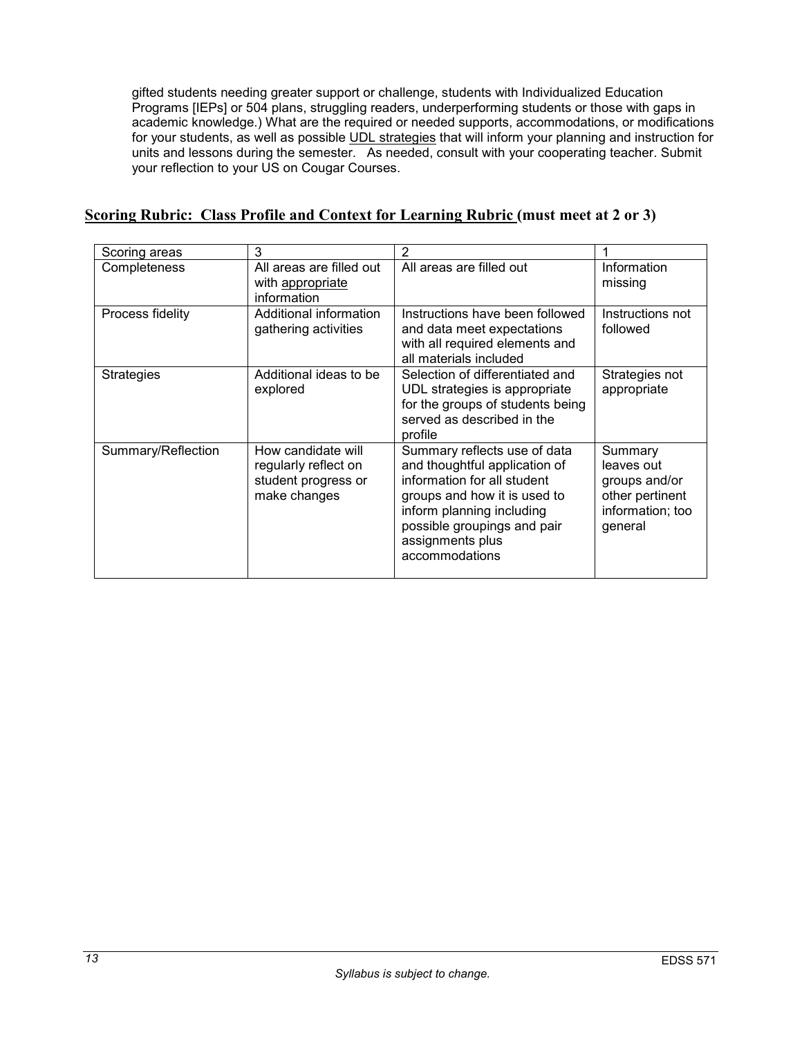gifted students needing greater support or challenge, students with Individualized Education Programs [IEPs] or 504 plans, struggling readers, underperforming students or those with gaps in academic knowledge.) What are the required or needed supports, accommodations, or modifications for your students, as well as possible UDL strategies that will inform your planning and instruction for units and lessons during the semester. As needed, consult with your cooperating teacher. Submit your reflection to your US on Cougar Courses.

| Scoring areas      | 3                                                                                 | 2                                                                                                                                                                                                                              |                                                                                          |
|--------------------|-----------------------------------------------------------------------------------|--------------------------------------------------------------------------------------------------------------------------------------------------------------------------------------------------------------------------------|------------------------------------------------------------------------------------------|
| Completeness       | All areas are filled out<br>with appropriate<br>information                       | All areas are filled out                                                                                                                                                                                                       | Information<br>missing                                                                   |
| Process fidelity   | Additional information<br>gathering activities                                    | Instructions have been followed<br>and data meet expectations<br>with all required elements and<br>all materials included                                                                                                      | Instructions not<br>followed                                                             |
| <b>Strategies</b>  | Additional ideas to be<br>explored                                                | Selection of differentiated and<br>UDL strategies is appropriate<br>for the groups of students being<br>served as described in the<br>profile                                                                                  | Strategies not<br>appropriate                                                            |
| Summary/Reflection | How candidate will<br>regularly reflect on<br>student progress or<br>make changes | Summary reflects use of data<br>and thoughtful application of<br>information for all student<br>groups and how it is used to<br>inform planning including<br>possible groupings and pair<br>assignments plus<br>accommodations | Summary<br>leaves out<br>groups and/or<br>other pertinent<br>information; too<br>general |

### **Scoring Rubric: Class Profile and Context for Learning Rubric (must meet at 2 or 3)**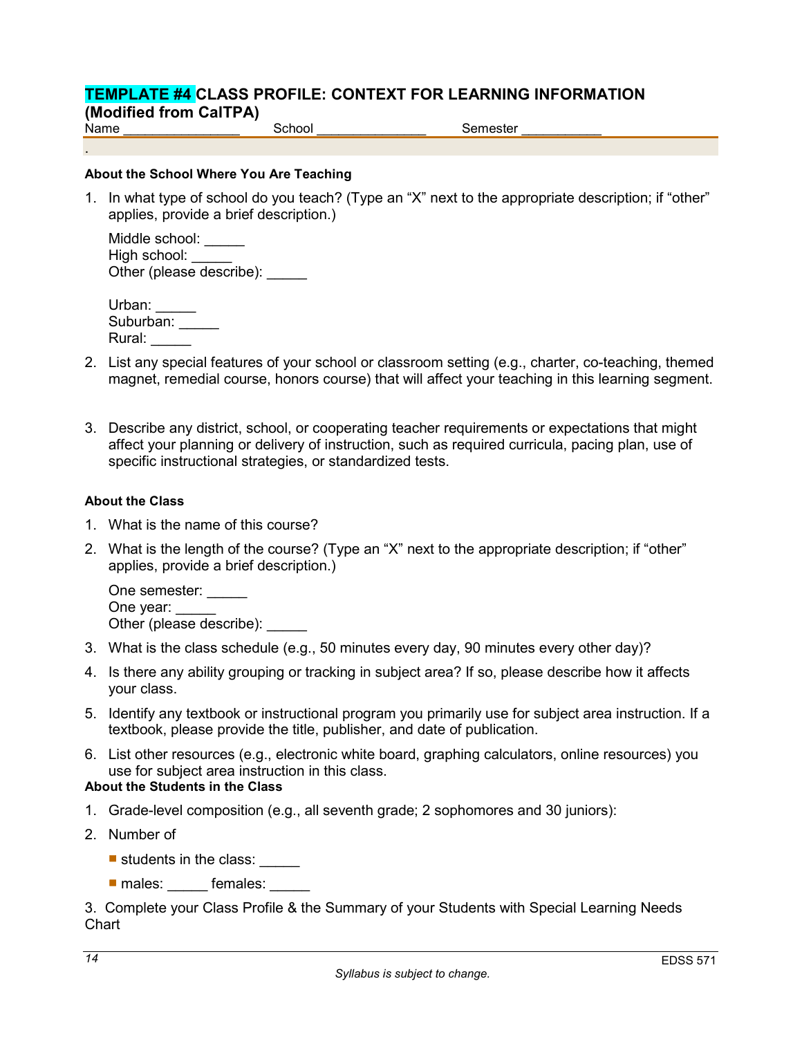# **TEMPLATE #4 CLASS PROFILE: CONTEXT FOR LEARNING INFORMATION**

# **(Modified from CalTPA)**

.

Name \_\_\_\_\_\_\_\_\_\_\_\_\_\_\_\_\_\_ School \_\_\_\_\_\_\_\_\_\_\_\_\_\_\_\_ Semester \_\_\_\_\_\_\_\_\_\_\_

### **About the School Where You Are Teaching**

1. In what type of school do you teach? (Type an "X" next to the appropriate description; if "other" applies, provide a brief description.)

Middle school: High school: \_\_\_\_\_ Other (please describe):

| Urban:    |  |
|-----------|--|
| Suburban: |  |
| Rural:    |  |

- 2. List any special features of your school or classroom setting (e.g., charter, co-teaching, themed magnet, remedial course, honors course) that will affect your teaching in this learning segment.
- 3. Describe any district, school, or cooperating teacher requirements or expectations that might affect your planning or delivery of instruction, such as required curricula, pacing plan, use of specific instructional strategies, or standardized tests.

### **About the Class**

- 1. What is the name of this course?
- 2. What is the length of the course? (Type an "X" next to the appropriate description; if "other" applies, provide a brief description.)

One semester: One year: Other (please describe):

- 3. What is the class schedule (e.g., 50 minutes every day, 90 minutes every other day)?
- 4. Is there any ability grouping or tracking in subject area? If so, please describe how it affects your class.
- 5. Identify any textbook or instructional program you primarily use for subject area instruction. If a textbook, please provide the title, publisher, and date of publication.
- 6. List other resources (e.g., electronic white board, graphing calculators, online resources) you use for subject area instruction in this class.

### **About the Students in the Class**

- 1. Grade-level composition (e.g., all seventh grade; 2 sophomores and 30 juniors):
- 2. Number of
	- $\blacksquare$  students in the class:
	- **nales:** females:

3. Complete your Class Profile & the Summary of your Students with Special Learning Needs **Chart**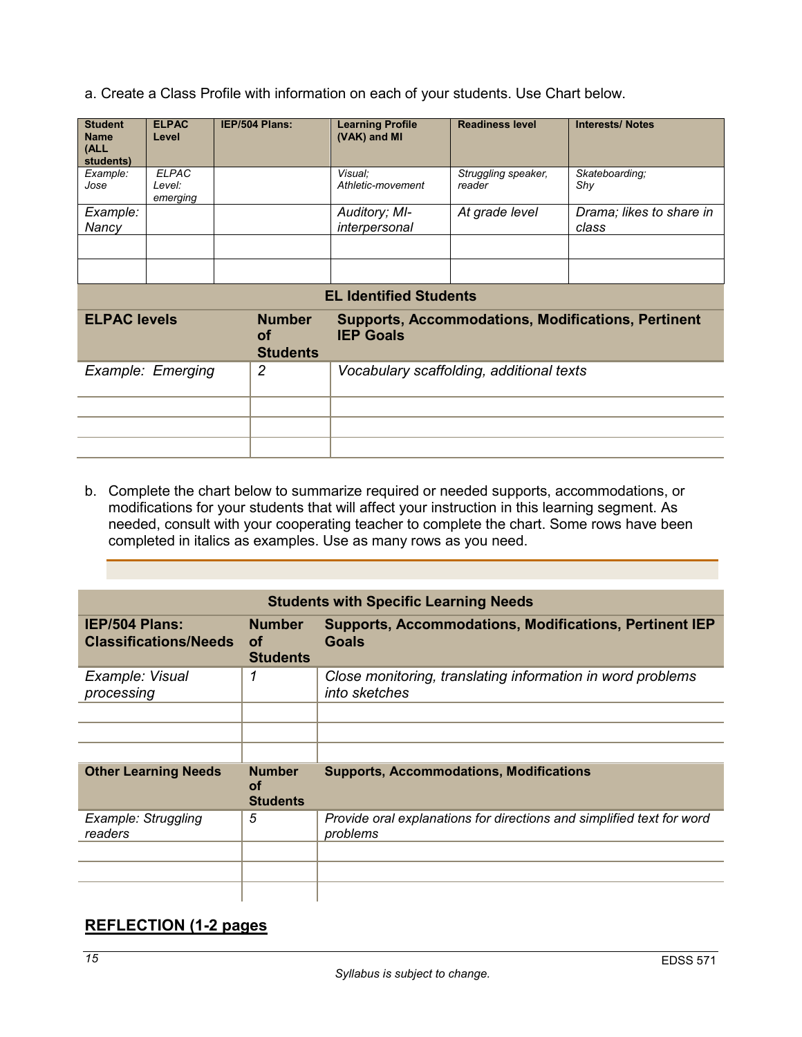a. Create a Class Profile with information on each of your students. Use Chart below.

| <b>Student</b><br><b>Name</b><br>(ALL<br>students) | <b>ELPAC</b><br>Level                                                                                                                                 | IEP/504 Plans: | <b>Learning Profile</b><br>(VAK) and MI  | <b>Readiness level</b>        | <b>Interests/Notes</b>            |
|----------------------------------------------------|-------------------------------------------------------------------------------------------------------------------------------------------------------|----------------|------------------------------------------|-------------------------------|-----------------------------------|
| Example:<br>Jose                                   | <b>ELPAC</b><br>Level:<br>emerging                                                                                                                    |                | Visual:<br>Athletic-movement             | Struggling speaker,<br>reader | Skateboarding;<br>Shy             |
| Example:<br>Nancy                                  |                                                                                                                                                       |                | <b>Auditory; MI-</b><br>interpersonal    | At grade level                | Drama; likes to share in<br>class |
|                                                    |                                                                                                                                                       |                |                                          |                               |                                   |
|                                                    |                                                                                                                                                       |                | <b>EL Identified Students</b>            |                               |                                   |
|                                                    | <b>ELPAC levels</b><br><b>Number</b><br><b>Supports, Accommodations, Modifications, Pertinent</b><br><b>IEP Goals</b><br><b>of</b><br><b>Students</b> |                |                                          |                               |                                   |
|                                                    | Example: Emerging                                                                                                                                     | 2              | Vocabulary scaffolding, additional texts |                               |                                   |
|                                                    |                                                                                                                                                       |                |                                          |                               |                                   |
|                                                    |                                                                                                                                                       |                |                                          |                               |                                   |
|                                                    |                                                                                                                                                       |                |                                          |                               |                                   |

b. Complete the chart below to summarize required or needed supports, accommodations, or modifications for your students that will affect your instruction in this learning segment. As needed, consult with your cooperating teacher to complete the chart. Some rows have been completed in italics as examples. Use as many rows as you need.

| <b>Students with Specific Learning Needs</b>          |                                               |                                                                                   |  |  |
|-------------------------------------------------------|-----------------------------------------------|-----------------------------------------------------------------------------------|--|--|
| <b>IEP/504 Plans:</b><br><b>Classifications/Needs</b> | <b>Number</b><br><b>of</b><br><b>Students</b> | <b>Supports, Accommodations, Modifications, Pertinent IEP</b><br>Goals            |  |  |
| Example: Visual<br>processing                         | 1                                             | Close monitoring, translating information in word problems<br>into sketches       |  |  |
|                                                       |                                               |                                                                                   |  |  |
|                                                       |                                               |                                                                                   |  |  |
|                                                       |                                               |                                                                                   |  |  |
| <b>Other Learning Needs</b>                           | <b>Number</b><br><b>of</b><br><b>Students</b> | <b>Supports, Accommodations, Modifications</b>                                    |  |  |
| Example: Struggling<br>readers                        | 5                                             | Provide oral explanations for directions and simplified text for word<br>problems |  |  |
|                                                       |                                               |                                                                                   |  |  |
|                                                       |                                               |                                                                                   |  |  |
|                                                       |                                               |                                                                                   |  |  |

# **REFLECTION (1-2 pages**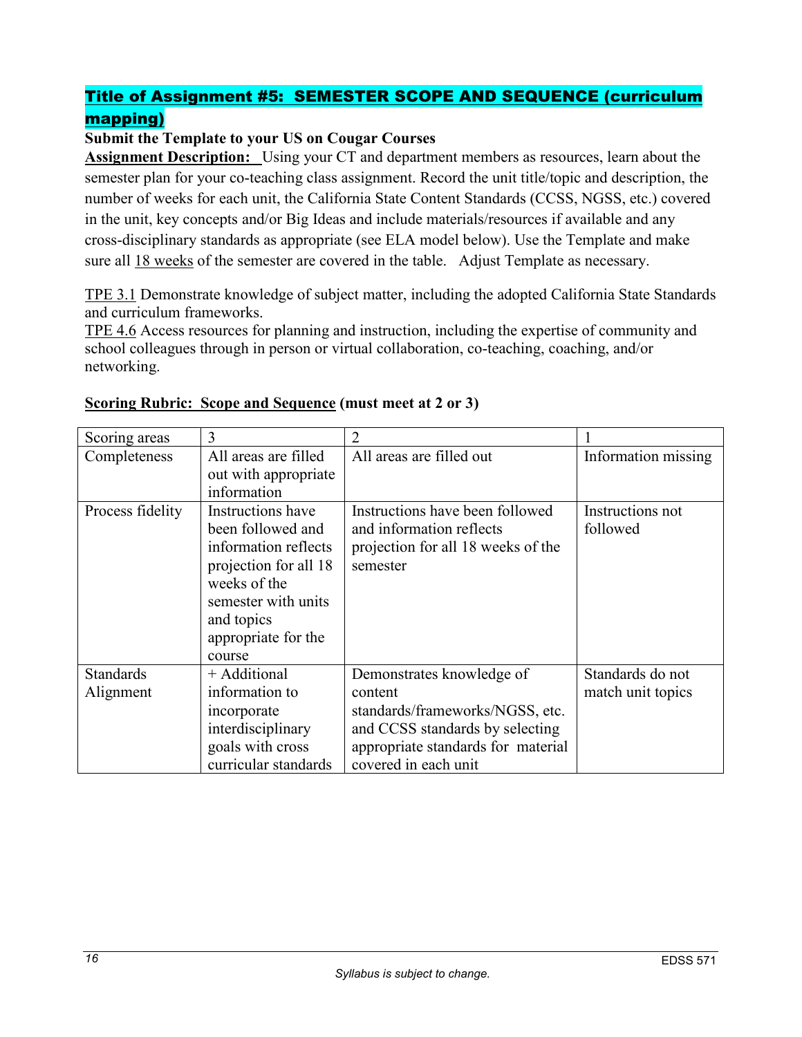# Title of Assignment #5: SEMESTER SCOPE AND SEQUENCE (curriculum mapping)

# **Submit the Template to your US on Cougar Courses**

**Assignment Description:** Using your CT and department members as resources, learn about the semester plan for your co-teaching class assignment. Record the unit title/topic and description, the number of weeks for each unit, the California State Content Standards (CCSS, NGSS, etc.) covered in the unit, key concepts and/or Big Ideas and include materials/resources if available and any cross-disciplinary standards as appropriate (see ELA model below). Use the Template and make sure all 18 weeks of the semester are covered in the table. Adjust Template as necessary.

TPE 3.1 Demonstrate knowledge of subject matter, including the adopted California State Standards and curriculum frameworks.

TPE 4.6 Access resources for planning and instruction, including the expertise of community and school colleagues through in person or virtual collaboration, co-teaching, coaching, and/or networking.

| Scoring areas    | 3                                                                                                                                                                             | 2                                                                                                             |                              |
|------------------|-------------------------------------------------------------------------------------------------------------------------------------------------------------------------------|---------------------------------------------------------------------------------------------------------------|------------------------------|
| Completeness     | All areas are filled<br>out with appropriate                                                                                                                                  | All areas are filled out                                                                                      | Information missing          |
|                  | information                                                                                                                                                                   |                                                                                                               |                              |
| Process fidelity | Instructions have<br>been followed and<br>information reflects<br>projection for all 18<br>weeks of the<br>semester with units<br>and topics<br>appropriate for the<br>course | Instructions have been followed<br>and information reflects<br>projection for all 18 weeks of the<br>semester | Instructions not<br>followed |
| <b>Standards</b> | + Additional                                                                                                                                                                  | Demonstrates knowledge of                                                                                     | Standards do not             |
| Alignment        | information to                                                                                                                                                                | content                                                                                                       | match unit topics            |
|                  | incorporate                                                                                                                                                                   | standards/frameworks/NGSS, etc.                                                                               |                              |
|                  | interdisciplinary                                                                                                                                                             | and CCSS standards by selecting                                                                               |                              |
|                  | goals with cross                                                                                                                                                              | appropriate standards for material                                                                            |                              |
|                  | curricular standards                                                                                                                                                          | covered in each unit                                                                                          |                              |

### **Scoring Rubric: Scope and Sequence (must meet at 2 or 3)**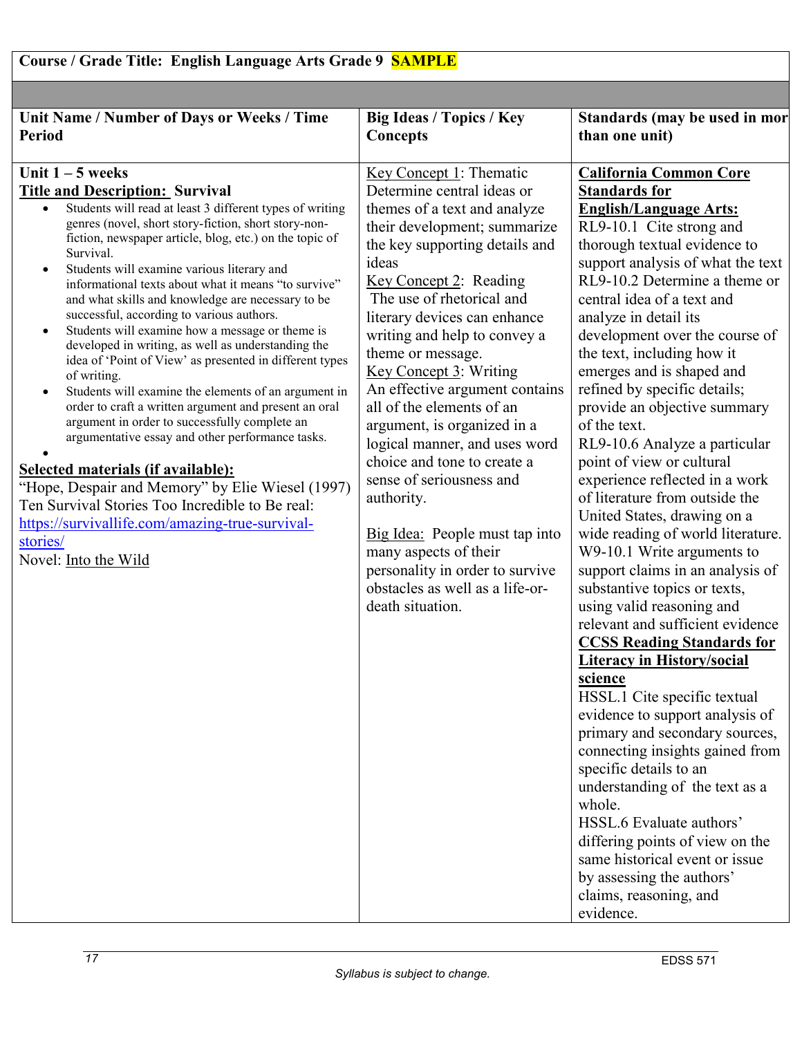| Unit Name / Number of Days or Weeks / Time                                                                                                                                                                                                                                                                                                                                                                                                                                                                                                                                                                                                                                                                                                                                                                                                                                                                                                                              | <b>Big Ideas / Topics / Key</b>                                                                                                                                                                                                                                                                                                                                                                                                                                                                                                                                            | Standards (may be used in mor                                                                                                                                                                                                                                                                                                                                                                                                                                                                                                                                                                                                                                                                                                                                                                                                                                                                                                                                                                                                                                                                                                                                                     |
|-------------------------------------------------------------------------------------------------------------------------------------------------------------------------------------------------------------------------------------------------------------------------------------------------------------------------------------------------------------------------------------------------------------------------------------------------------------------------------------------------------------------------------------------------------------------------------------------------------------------------------------------------------------------------------------------------------------------------------------------------------------------------------------------------------------------------------------------------------------------------------------------------------------------------------------------------------------------------|----------------------------------------------------------------------------------------------------------------------------------------------------------------------------------------------------------------------------------------------------------------------------------------------------------------------------------------------------------------------------------------------------------------------------------------------------------------------------------------------------------------------------------------------------------------------------|-----------------------------------------------------------------------------------------------------------------------------------------------------------------------------------------------------------------------------------------------------------------------------------------------------------------------------------------------------------------------------------------------------------------------------------------------------------------------------------------------------------------------------------------------------------------------------------------------------------------------------------------------------------------------------------------------------------------------------------------------------------------------------------------------------------------------------------------------------------------------------------------------------------------------------------------------------------------------------------------------------------------------------------------------------------------------------------------------------------------------------------------------------------------------------------|
| Period                                                                                                                                                                                                                                                                                                                                                                                                                                                                                                                                                                                                                                                                                                                                                                                                                                                                                                                                                                  | <b>Concepts</b>                                                                                                                                                                                                                                                                                                                                                                                                                                                                                                                                                            | than one unit)                                                                                                                                                                                                                                                                                                                                                                                                                                                                                                                                                                                                                                                                                                                                                                                                                                                                                                                                                                                                                                                                                                                                                                    |
| Unit $1 - 5$ weeks                                                                                                                                                                                                                                                                                                                                                                                                                                                                                                                                                                                                                                                                                                                                                                                                                                                                                                                                                      | Key Concept 1: Thematic                                                                                                                                                                                                                                                                                                                                                                                                                                                                                                                                                    | <b>California Common Core</b>                                                                                                                                                                                                                                                                                                                                                                                                                                                                                                                                                                                                                                                                                                                                                                                                                                                                                                                                                                                                                                                                                                                                                     |
| <b>Title and Description: Survival</b>                                                                                                                                                                                                                                                                                                                                                                                                                                                                                                                                                                                                                                                                                                                                                                                                                                                                                                                                  | Determine central ideas or                                                                                                                                                                                                                                                                                                                                                                                                                                                                                                                                                 | <b>Standards for</b>                                                                                                                                                                                                                                                                                                                                                                                                                                                                                                                                                                                                                                                                                                                                                                                                                                                                                                                                                                                                                                                                                                                                                              |
| Students will read at least 3 different types of writing                                                                                                                                                                                                                                                                                                                                                                                                                                                                                                                                                                                                                                                                                                                                                                                                                                                                                                                | themes of a text and analyze                                                                                                                                                                                                                                                                                                                                                                                                                                                                                                                                               | <b>English/Language Arts:</b>                                                                                                                                                                                                                                                                                                                                                                                                                                                                                                                                                                                                                                                                                                                                                                                                                                                                                                                                                                                                                                                                                                                                                     |
| genres (novel, short story-fiction, short story-non-                                                                                                                                                                                                                                                                                                                                                                                                                                                                                                                                                                                                                                                                                                                                                                                                                                                                                                                    | their development; summarize                                                                                                                                                                                                                                                                                                                                                                                                                                                                                                                                               | RL9-10.1 Cite strong and                                                                                                                                                                                                                                                                                                                                                                                                                                                                                                                                                                                                                                                                                                                                                                                                                                                                                                                                                                                                                                                                                                                                                          |
| fiction, newspaper article, blog, etc.) on the topic of<br>Survival.<br>Students will examine various literary and<br>$\bullet$<br>informational texts about what it means "to survive"<br>and what skills and knowledge are necessary to be<br>successful, according to various authors.<br>Students will examine how a message or theme is<br>$\bullet$<br>developed in writing, as well as understanding the<br>idea of 'Point of View' as presented in different types<br>of writing.<br>Students will examine the elements of an argument in<br>$\bullet$<br>order to craft a written argument and present an oral<br>argument in order to successfully complete an<br>argumentative essay and other performance tasks.<br><u>Selected materials (if available):</u><br>"Hope, Despair and Memory" by Elie Wiesel (1997)<br>Ten Survival Stories Too Incredible to Be real:<br>https://survivallife.com/amazing-true-survival-<br>stories/<br>Novel: Into the Wild | the key supporting details and<br>ideas<br>Key Concept 2: Reading<br>The use of rhetorical and<br>literary devices can enhance<br>writing and help to convey a<br>theme or message.<br>Key Concept 3: Writing<br>An effective argument contains<br>all of the elements of an<br>argument, is organized in a<br>logical manner, and uses word<br>choice and tone to create a<br>sense of seriousness and<br>authority.<br>Big Idea: People must tap into<br>many aspects of their<br>personality in order to survive<br>obstacles as well as a life-or-<br>death situation. | thorough textual evidence to<br>support analysis of what the text<br>RL9-10.2 Determine a theme or<br>central idea of a text and<br>analyze in detail its<br>development over the course of<br>the text, including how it<br>emerges and is shaped and<br>refined by specific details;<br>provide an objective summary<br>of the text.<br>RL9-10.6 Analyze a particular<br>point of view or cultural<br>experience reflected in a work<br>of literature from outside the<br>United States, drawing on a<br>wide reading of world literature.<br>W9-10.1 Write arguments to<br>support claims in an analysis of<br>substantive topics or texts,<br>using valid reasoning and<br>relevant and sufficient evidence<br><b>CCSS Reading Standards for</b><br><b>Literacy in History/social</b><br><u>science</u><br>HSSL.1 Cite specific textual<br>evidence to support analysis of<br>primary and secondary sources,<br>connecting insights gained from<br>specific details to an<br>understanding of the text as a<br>whole.<br>HSSL.6 Evaluate authors'<br>differing points of view on the<br>same historical event or issue<br>by assessing the authors'<br>claims, reasoning, and |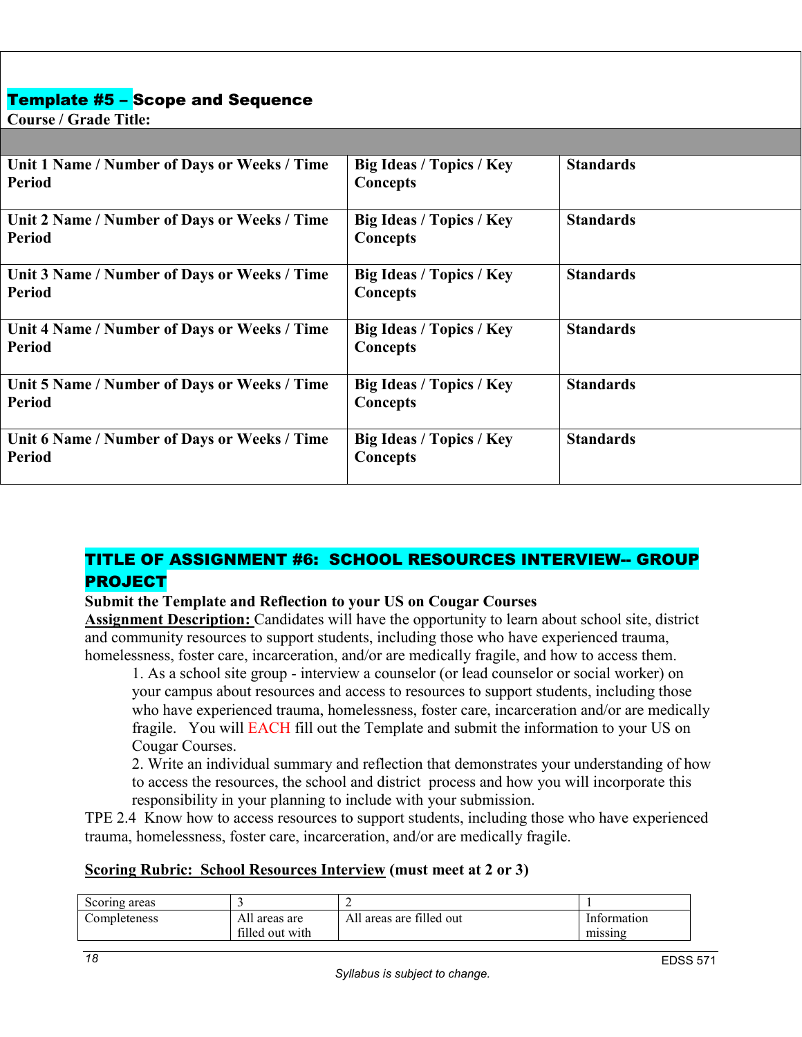# Template #5 – Scope and Sequence

**Course / Grade Title:**

| Unit 1 Name / Number of Days or Weeks / Time<br><b>Period</b> | <b>Big Ideas / Topics / Key</b><br>Concepts | <b>Standards</b> |
|---------------------------------------------------------------|---------------------------------------------|------------------|
| Unit 2 Name / Number of Days or Weeks / Time<br><b>Period</b> | <b>Big Ideas / Topics / Key</b><br>Concepts | <b>Standards</b> |
| Unit 3 Name / Number of Days or Weeks / Time<br><b>Period</b> | <b>Big Ideas / Topics / Key</b><br>Concepts | <b>Standards</b> |
| Unit 4 Name / Number of Days or Weeks / Time<br><b>Period</b> | <b>Big Ideas / Topics / Key</b><br>Concepts | <b>Standards</b> |
| Unit 5 Name / Number of Days or Weeks / Time<br><b>Period</b> | <b>Big Ideas / Topics / Key</b><br>Concepts | <b>Standards</b> |
| Unit 6 Name / Number of Days or Weeks / Time<br><b>Period</b> | <b>Big Ideas / Topics / Key</b><br>Concepts | <b>Standards</b> |

# TITLE OF ASSIGNMENT #6: SCHOOL RESOURCES INTERVIEW-- GROUP PROJECT

### **Submit the Template and Reflection to your US on Cougar Courses**

**Assignment Description:** Candidates will have the opportunity to learn about school site, district and community resources to support students, including those who have experienced trauma, homelessness, foster care, incarceration, and/or are medically fragile, and how to access them.

1. As a school site group - interview a counselor (or lead counselor or social worker) on your campus about resources and access to resources to support students, including those who have experienced trauma, homelessness, foster care, incarceration and/or are medically fragile. You will EACH fill out the Template and submit the information to your US on Cougar Courses.

2. Write an individual summary and reflection that demonstrates your understanding of how to access the resources, the school and district process and how you will incorporate this responsibility in your planning to include with your submission.

TPE 2.4 Know how to access resources to support students, including those who have experienced trauma, homelessness, foster care, incarceration, and/or are medically fragile.

### **Scoring Rubric: School Resources Interview (must meet at 2 or 3)**

| Scoring areas |                 |                          |             |
|---------------|-----------------|--------------------------|-------------|
| completeness. | All areas are   | All areas are filled out | Information |
|               | filled out with |                          | missing     |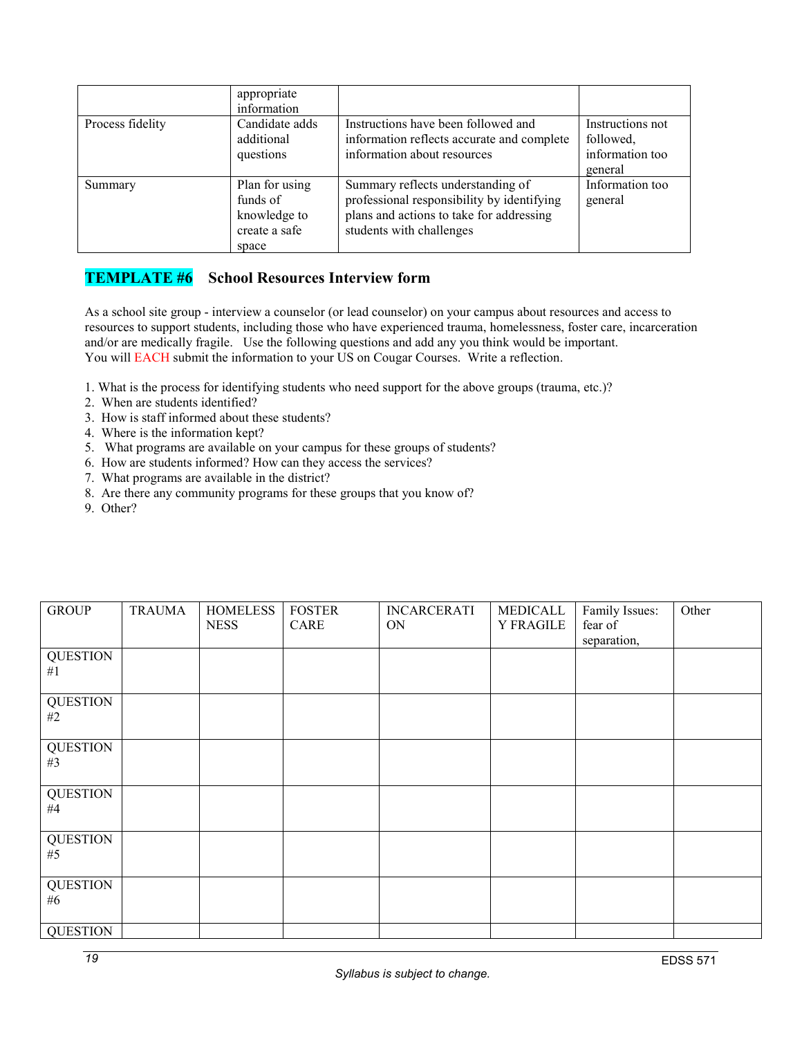|                  | appropriate<br>information                                           |                                                                                                                                                         |                                                             |
|------------------|----------------------------------------------------------------------|---------------------------------------------------------------------------------------------------------------------------------------------------------|-------------------------------------------------------------|
| Process fidelity | Candidate adds<br>additional<br>questions                            | Instructions have been followed and<br>information reflects accurate and complete<br>information about resources                                        | Instructions not<br>followed.<br>information too<br>general |
| Summary          | Plan for using<br>funds of<br>knowledge to<br>create a safe<br>space | Summary reflects understanding of<br>professional responsibility by identifying<br>plans and actions to take for addressing<br>students with challenges | Information too<br>general                                  |

# **TEMPLATE #6 School Resources Interview form**

As a school site group - interview a counselor (or lead counselor) on your campus about resources and access to resources to support students, including those who have experienced trauma, homelessness, foster care, incarceration and/or are medically fragile. Use the following questions and add any you think would be important. You will EACH submit the information to your US on Cougar Courses. Write a reflection.

1. What is the process for identifying students who need support for the above groups (trauma, etc.)?

- 2. When are students identified?
- 3. How is staff informed about these students?
- 4. Where is the information kept?
- 5. What programs are available on your campus for these groups of students?
- 6. How are students informed? How can they access the services?
- 7. What programs are available in the district?
- 8. Are there any community programs for these groups that you know of?
- 9. Other?

| <b>GROUP</b>          | <b>TRAUMA</b> | <b>HOMELESS</b><br><b>NESS</b> | <b>FOSTER</b><br>CARE | <b>INCARCERATI</b><br>ON | MEDICALL<br><b>Y FRAGILE</b> | Family Issues:<br>fear of<br>separation, | Other |
|-----------------------|---------------|--------------------------------|-----------------------|--------------------------|------------------------------|------------------------------------------|-------|
| <b>QUESTION</b><br>#1 |               |                                |                       |                          |                              |                                          |       |
| <b>QUESTION</b><br>#2 |               |                                |                       |                          |                              |                                          |       |
| <b>QUESTION</b><br>#3 |               |                                |                       |                          |                              |                                          |       |
| <b>QUESTION</b><br>#4 |               |                                |                       |                          |                              |                                          |       |
| <b>QUESTION</b><br>#5 |               |                                |                       |                          |                              |                                          |       |
| <b>QUESTION</b><br>#6 |               |                                |                       |                          |                              |                                          |       |
| <b>QUESTION</b>       |               |                                |                       |                          |                              |                                          |       |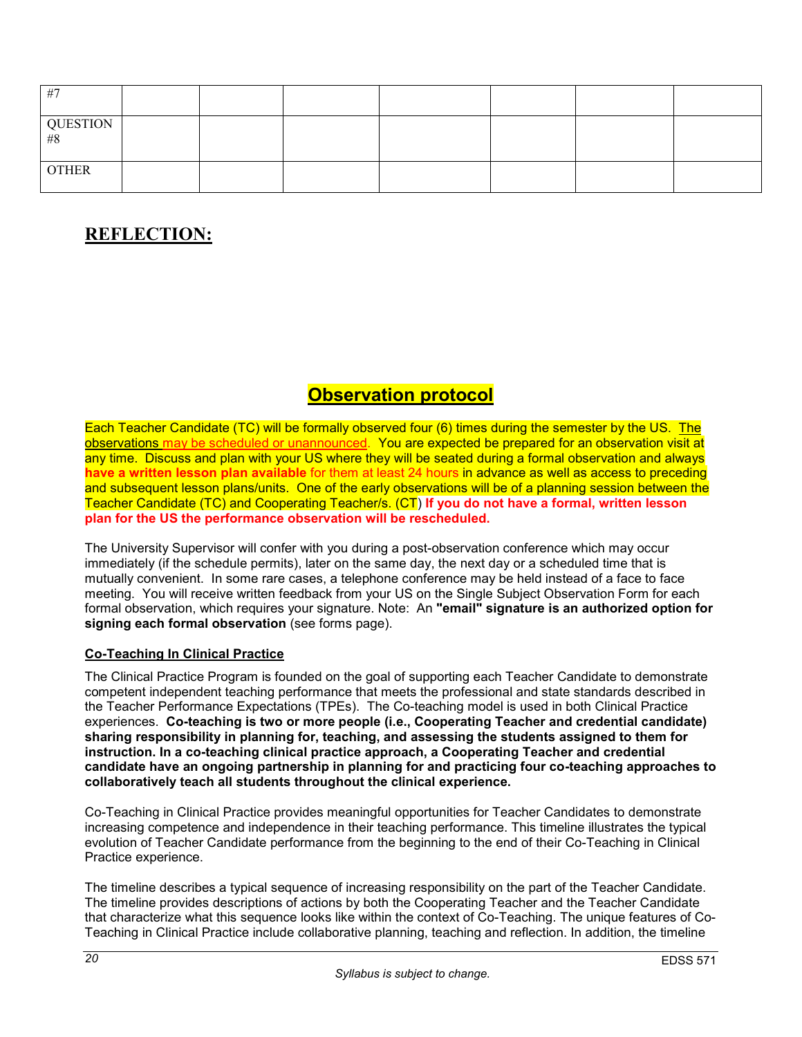| #7             |  |  |  |  |
|----------------|--|--|--|--|
| QUESTION<br>#8 |  |  |  |  |
| <b>OTHER</b>   |  |  |  |  |

# **REFLECTION:**

# **Observation protocol**

Each Teacher Candidate (TC) will be formally observed four (6) times during the semester by the US. The observations may be scheduled or unannounced. You are expected be prepared for an observation visit at any time. Discuss and plan with your US where they will be seated during a formal observation and always **have a written lesson plan available** for them at least 24 hours in advance as well as access to preceding and subsequent lesson plans/units. One of the early observations will be of a planning session between the Teacher Candidate (TC) and Cooperating Teacher/s. (CT) **If you do not have a formal, written lesson plan for the US the performance observation will be rescheduled.**

The University Supervisor will confer with you during a post-observation conference which may occur immediately (if the schedule permits), later on the same day, the next day or a scheduled time that is mutually convenient. In some rare cases, a telephone conference may be held instead of a face to face meeting. You will receive written feedback from your US on the Single Subject Observation Form for each formal observation, which requires your signature. Note: An **"email" signature is an authorized option for signing each formal observation** (see forms page).

### <span id="page-21-0"></span>**Co-Teaching In Clinical Practice**

The Clinical Practice Program is founded on the goal of supporting each Teacher Candidate to demonstrate competent independent teaching performance that meets the professional and state standards described in the Teacher Performance Expectations (TPEs). The Co-teaching model is used in both Clinical Practice experiences. **Co-teaching is two or more people (i.e., Cooperating Teacher and credential candidate) sharing responsibility in planning for, teaching, and assessing the students assigned to them for instruction. In a co-teaching clinical practice approach, a Cooperating Teacher and credential candidate have an ongoing partnership in planning for and practicing four co-teaching approaches to collaboratively teach all students throughout the clinical experience.** 

Co-Teaching in Clinical Practice provides meaningful opportunities for Teacher Candidates to demonstrate increasing competence and independence in their teaching performance. This timeline illustrates the typical evolution of Teacher Candidate performance from the beginning to the end of their Co-Teaching in Clinical Practice experience.

The timeline describes a typical sequence of increasing responsibility on the part of the Teacher Candidate. The timeline provides descriptions of actions by both the Cooperating Teacher and the Teacher Candidate that characterize what this sequence looks like within the context of Co-Teaching. The unique features of Co-Teaching in Clinical Practice include collaborative planning, teaching and reflection. In addition, the timeline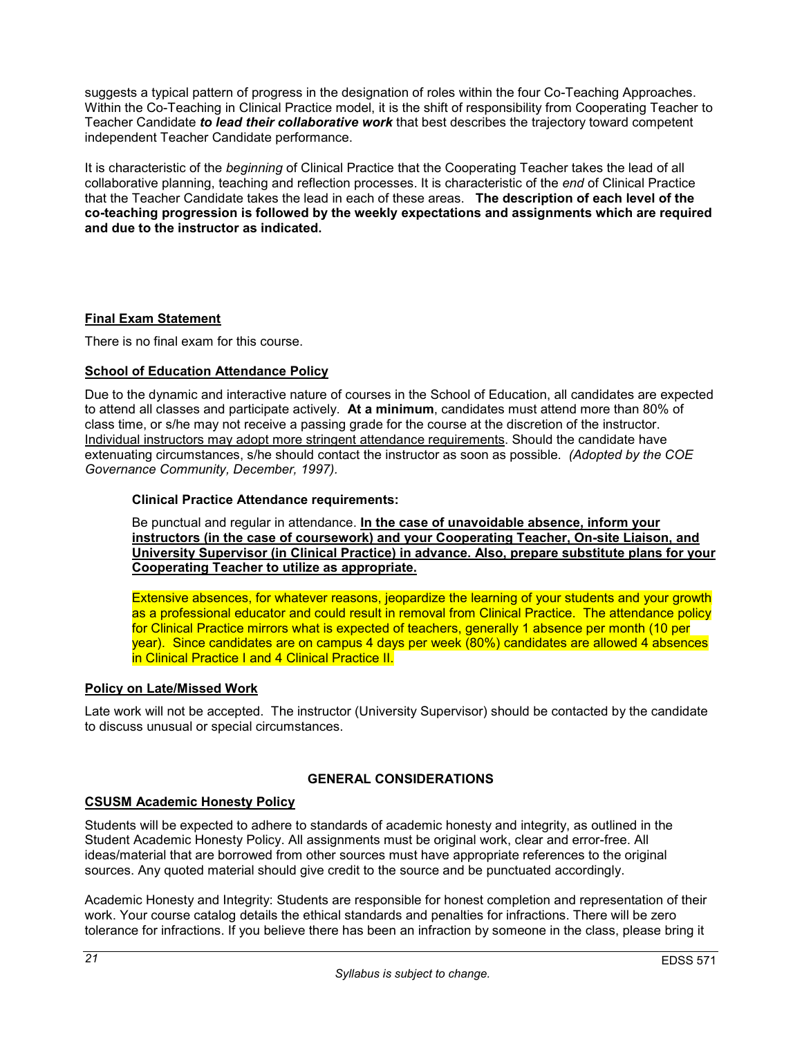suggests a typical pattern of progress in the designation of roles within the four Co-Teaching Approaches. Within the Co-Teaching in Clinical Practice model, it is the shift of responsibility from Cooperating Teacher to Teacher Candidate *to lead their collaborative work* that best describes the trajectory toward competent independent Teacher Candidate performance.

It is characteristic of the *beginning* of Clinical Practice that the Cooperating Teacher takes the lead of all collaborative planning, teaching and reflection processes. It is characteristic of the *end* of Clinical Practice that the Teacher Candidate takes the lead in each of these areas. **The description of each level of the co-teaching progression is followed by the weekly expectations and assignments which are required and due to the instructor as indicated.**

### <span id="page-22-0"></span>**Final Exam Statement**

There is no final exam for this course.

### <span id="page-22-1"></span>**School of Education Attendance Policy**

Due to the dynamic and interactive nature of courses in the School of Education, all candidates are expected to attend all classes and participate actively. **At a minimum**, candidates must attend more than 80% of class time, or s/he may not receive a passing grade for the course at the discretion of the instructor. Individual instructors may adopt more stringent attendance requirements. Should the candidate have extenuating circumstances, s/he should contact the instructor as soon as possible. *(Adopted by the COE Governance Community, December, 1997).*

### <span id="page-22-2"></span>**Clinical Practice Attendance requirements:**

Be punctual and regular in attendance. **In the case of unavoidable absence, inform your instructors (in the case of coursework) and your Cooperating Teacher, On-site Liaison, and University Supervisor (in Clinical Practice) in advance. Also, prepare substitute plans for your Cooperating Teacher to utilize as appropriate.**

Extensive absences, for whatever reasons, jeopardize the learning of your students and your growth as a professional educator and could result in removal from Clinical Practice. The attendance policy for Clinical Practice mirrors what is expected of teachers, generally 1 absence per month (10 per year). Since candidates are on campus 4 days per week (80%) candidates are allowed 4 absences in Clinical Practice I and 4 Clinical Practice II.

### <span id="page-22-3"></span>**Policy on Late/Missed Work**

Late work will not be accepted. The instructor (University Supervisor) should be contacted by the candidate to discuss unusual or special circumstances.

### **GENERAL CONSIDERATIONS**

### <span id="page-22-5"></span><span id="page-22-4"></span>**CSUSM Academic Honesty Policy**

Students will be expected to adhere to standards of academic honesty and integrity, as outlined in the Student Academic Honesty Policy. All assignments must be original work, clear and error-free. All ideas/material that are borrowed from other sources must have appropriate references to the original sources. Any quoted material should give credit to the source and be punctuated accordingly.

Academic Honesty and Integrity: Students are responsible for honest completion and representation of their work. Your course catalog details the ethical standards and penalties for infractions. There will be zero tolerance for infractions. If you believe there has been an infraction by someone in the class, please bring it